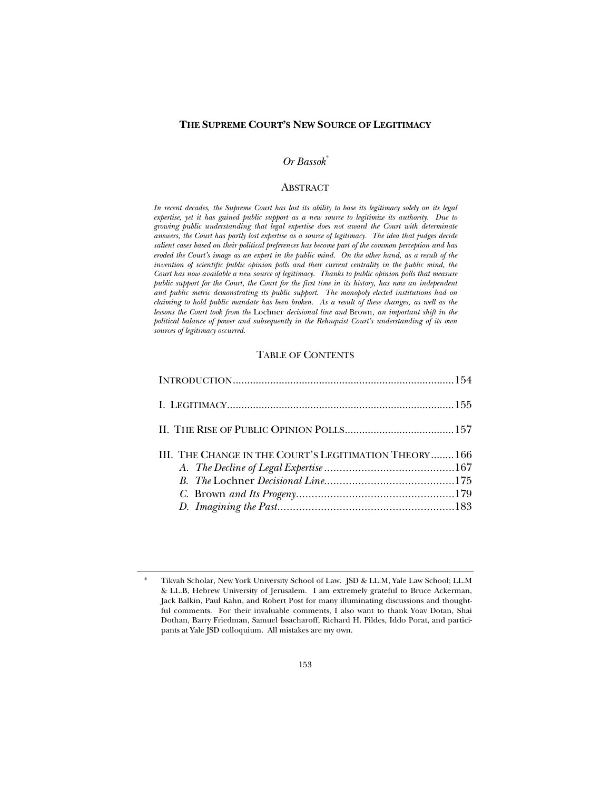## **THE SUPREME COURT'S NEW SOURCE OF LEGITIMACY**

# *Or Bassok\**

# **ABSTRACT**

*In recent decades, the Supreme Court has lost its ability to base its legitimacy solely on its legal expertise, yet it has gained public support as a new source to legitimize its authority. Due to growing public understanding that legal expertise does not award the Court with determinate answers, the Court has partly lost expertise as a source of legitimacy. The idea that judges decide salient cases based on their political preferences has become part of the common perception and has eroded the Court's image as an expert in the public mind. On the other hand, as a result of the*  invention of scientific public opinion polls and their current centrality in the public mind, the *Court has now available a new source of legitimacy. Thanks to public opinion polls that measure public support for the Court, the Court for the first time in its history, has now an independent and public metric demonstrating its public support. The monopoly elected institutions had on claiming to hold public mandate has been broken. As a result of these changes, as well as the lessons the Court took from the* Lochner *decisional line and* Brown*, an important shift in the political balance of power and subsequently in the Rehnquist Court's understanding of its own sources of legitimacy occurred.*

# TABLE OF CONTENTS

| III. THE CHANGE IN THE COURT'S LEGITIMATION THEORY166 |  |
|-------------------------------------------------------|--|
|                                                       |  |
|                                                       |  |
|                                                       |  |

Tikvah Scholar, New York University School of Law. JSD & LL.M, Yale Law School; LL.M & LL.B, Hebrew University of Jerusalem. I am extremely grateful to Bruce Ackerman, Jack Balkin, Paul Kahn, and Robert Post for many illuminating discussions and thoughtful comments. For their invaluable comments, I also want to thank Yoav Dotan, Shai Dothan, Barry Friedman, Samuel Issacharoff, Richard H. Pildes, Iddo Porat, and participants at Yale JSD colloquium. All mistakes are my own.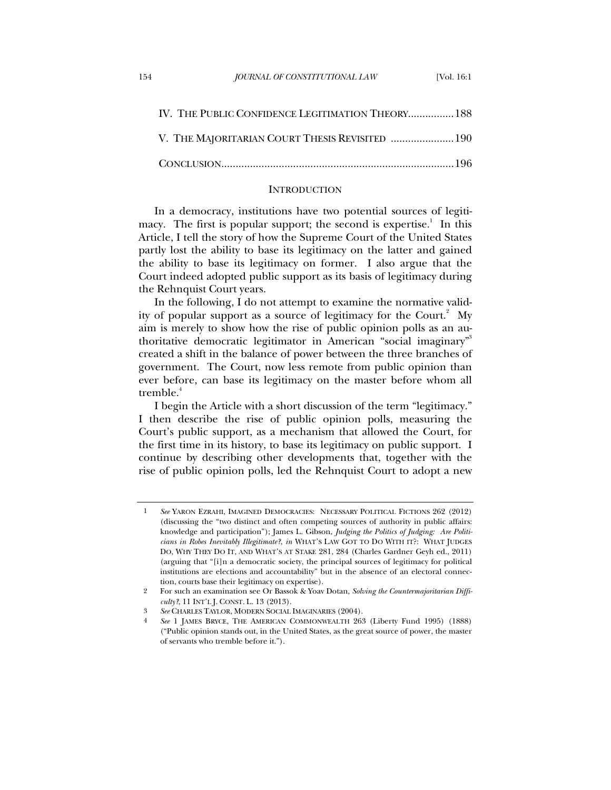| IV. THE PUBLIC CONFIDENCE LEGITIMATION THEORY 188 |  |
|---------------------------------------------------|--|
| V. THE MAJORITARIAN COURT THESIS REVISITED  190   |  |
|                                                   |  |

#### **INTRODUCTION**

In a democracy, institutions have two potential sources of legitimacy. The first is popular support; the second is expertise.<sup>1</sup> In this Article, I tell the story of how the Supreme Court of the United States partly lost the ability to base its legitimacy on the latter and gained the ability to base its legitimacy on former. I also argue that the Court indeed adopted public support as its basis of legitimacy during the Rehnquist Court years.

In the following, I do not attempt to examine the normative validity of popular support as a source of legitimacy for the Court.<sup>2</sup> My aim is merely to show how the rise of public opinion polls as an authoritative democratic legitimator in American "social imaginary"3 created a shift in the balance of power between the three branches of government. The Court, now less remote from public opinion than ever before, can base its legitimacy on the master before whom all tremble.<sup>4</sup>

I begin the Article with a short discussion of the term "legitimacy." I then describe the rise of public opinion polls, measuring the Court's public support, as a mechanism that allowed the Court, for the first time in its history, to base its legitimacy on public support. I continue by describing other developments that, together with the rise of public opinion polls, led the Rehnquist Court to adopt a new

<sup>1</sup> *See* YARON EZRAHI, IMAGINED DEMOCRACIES: NECESSARY POLITICAL FICTIONS 262 (2012) (discussing the "two distinct and often competing sources of authority in public affairs: knowledge and participation"); James L. Gibson, *Judging the Politics of Judging: Are Politicians in Robes Inevitably Illegitimate?*, *in* WHAT'S LAW GOT TO DO WITH IT?: WHAT JUDGES DO, WHY THEY DO IT, AND WHAT'S AT STAKE 281, 284 (Charles Gardner Geyh ed., 2011) (arguing that "[i]n a democratic society, the principal sources of legitimacy for political institutions are elections and accountability" but in the absence of an electoral connection, courts base their legitimacy on expertise).

<sup>2</sup> For such an examination see Or Bassok & Yoav Dotan, *Solving the Countermajoritarian Difficulty?*, 11 INT'L J. CONST. L. 13 (2013).

<sup>3</sup> *See* CHARLES TAYLOR, MODERN SOCIAL IMAGINARIES (2004).

<sup>4</sup> *See* 1 JAMES BRYCE, THE AMERICAN COMMONWEALTH 263 (Liberty Fund 1995) (1888) ("Public opinion stands out, in the United States, as the great source of power, the master of servants who tremble before it.").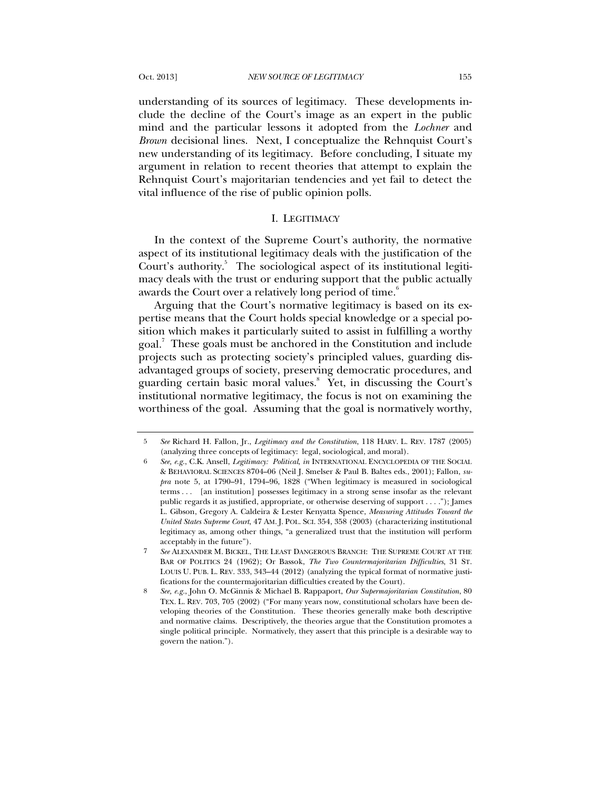understanding of its sources of legitimacy. These developments include the decline of the Court's image as an expert in the public mind and the particular lessons it adopted from the *Lochner* and *Brown* decisional lines. Next, I conceptualize the Rehnquist Court's new understanding of its legitimacy. Before concluding, I situate my argument in relation to recent theories that attempt to explain the Rehnquist Court's majoritarian tendencies and yet fail to detect the vital influence of the rise of public opinion polls.

#### I. LEGITIMACY

In the context of the Supreme Court's authority, the normative aspect of its institutional legitimacy deals with the justification of the Court's authority.<sup>5</sup> The sociological aspect of its institutional legitimacy deals with the trust or enduring support that the public actually awards the Court over a relatively long period of time.<sup>6</sup>

Arguing that the Court's normative legitimacy is based on its expertise means that the Court holds special knowledge or a special position which makes it particularly suited to assist in fulfilling a worthy goal.<sup>7</sup> These goals must be anchored in the Constitution and include projects such as protecting society's principled values, guarding disadvantaged groups of society, preserving democratic procedures, and guarding certain basic moral values.<sup>8</sup> Yet, in discussing the Court's institutional normative legitimacy, the focus is not on examining the worthiness of the goal. Assuming that the goal is normatively worthy,

<sup>5</sup> *See* Richard H. Fallon, Jr., *Legitimacy and the Constitution*, 118 HARV. L. REV. 1787 (2005) (analyzing three concepts of legitimacy: legal, sociological, and moral).

<sup>6</sup> *See, e.g.*, C.K. Ansell, *Legitimacy: Political*, *in* INTERNATIONAL ENCYCLOPEDIA OF THE SOCIAL & BEHAVIORAL SCIENCES 8704–06 (Neil J. Smelser & Paul B. Baltes eds., 2001); Fallon, *supra* note 5, at 1790–91, 1794–96, 1828 ("When legitimacy is measured in sociological terms . . . [an institution] possesses legitimacy in a strong sense insofar as the relevant public regards it as justified, appropriate, or otherwise deserving of support . . . ."); James L. Gibson, Gregory A. Caldeira & Lester Kenyatta Spence, *Measuring Attitudes Toward the United States Supreme Court*, 47 AM. J. POL. SCI. 354, 358 (2003) (characterizing institutional legitimacy as, among other things, "a generalized trust that the institution will perform acceptably in the future").

<sup>7</sup> *See* ALEXANDER M. BICKEL, THE LEAST DANGEROUS BRANCH: THE SUPREME COURT AT THE BAR OF POLITICS 24 (1962); Or Bassok, *The Two Countermajoritarian Difficulties*, 31 ST. LOUIS U. PUB. L. REV. 333, 343–44 (2012) (analyzing the typical format of normative justifications for the countermajoritarian difficulties created by the Court).

<sup>8</sup> *See, e.g.*, John O. McGinnis & Michael B. Rappaport, *Our Supermajoritarian Constitution*, 80 TEX. L. REV. 703, 705 (2002) ("For many years now, constitutional scholars have been developing theories of the Constitution. These theories generally make both descriptive and normative claims. Descriptively, the theories argue that the Constitution promotes a single political principle. Normatively, they assert that this principle is a desirable way to govern the nation.").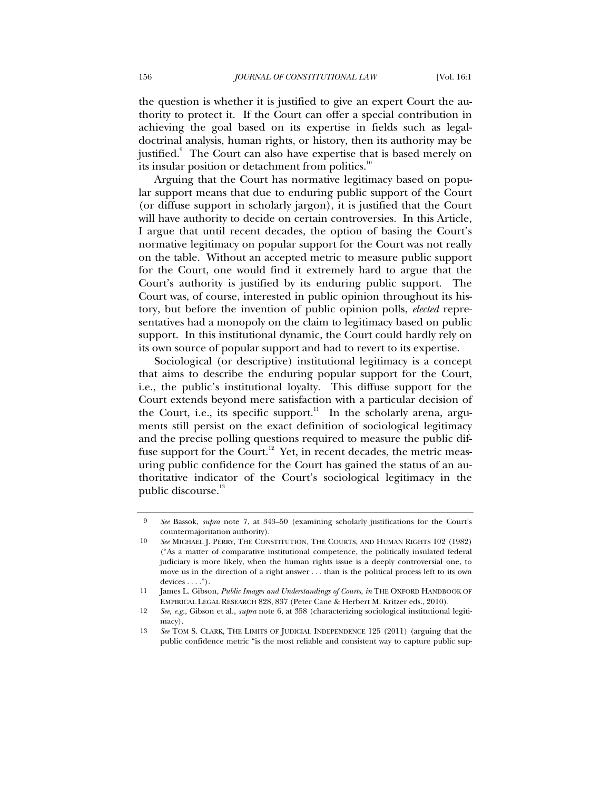the question is whether it is justified to give an expert Court the authority to protect it. If the Court can offer a special contribution in achieving the goal based on its expertise in fields such as legaldoctrinal analysis, human rights, or history, then its authority may be justified.<sup>9</sup> The Court can also have expertise that is based merely on its insular position or detachment from politics.<sup>10</sup>

Arguing that the Court has normative legitimacy based on popular support means that due to enduring public support of the Court (or diffuse support in scholarly jargon), it is justified that the Court will have authority to decide on certain controversies. In this Article, I argue that until recent decades, the option of basing the Court's normative legitimacy on popular support for the Court was not really on the table. Without an accepted metric to measure public support for the Court, one would find it extremely hard to argue that the Court's authority is justified by its enduring public support. The Court was, of course, interested in public opinion throughout its history, but before the invention of public opinion polls, *elected* representatives had a monopoly on the claim to legitimacy based on public support. In this institutional dynamic, the Court could hardly rely on its own source of popular support and had to revert to its expertise.

Sociological (or descriptive) institutional legitimacy is a concept that aims to describe the enduring popular support for the Court, i.e., the public's institutional loyalty. This diffuse support for the Court extends beyond mere satisfaction with a particular decision of the Court, i.e., its specific support.<sup>11</sup> In the scholarly arena, arguments still persist on the exact definition of sociological legitimacy and the precise polling questions required to measure the public diffuse support for the Court.<sup>12</sup> Yet, in recent decades, the metric measuring public confidence for the Court has gained the status of an authoritative indicator of the Court's sociological legitimacy in the public discourse.<sup>13</sup>

<sup>9</sup> *See* Bassok, *supra* note 7, at 343–50 (examining scholarly justifications for the Court's countermajoritation authority).

<sup>10</sup> *See* MICHAEL J. PERRY, THE CONSTITUTION, THE COURTS, AND HUMAN RIGHTS 102 (1982) ("As a matter of comparative institutional competence, the politically insulated federal judiciary is more likely, when the human rights issue is a deeply controversial one, to move us in the direction of a right answer . . . than is the political process left to its own  $devices \ldots$ ").

<sup>11</sup> James L. Gibson, *Public Images and Understandings of Courts*, *in* THE OXFORD HANDBOOK OF EMPIRICAL LEGAL RESEARCH 828, 837 (Peter Cane & Herbert M. Kritzer eds., 2010).

<sup>12</sup> *See, e.g.*, Gibson et al., *supra* note 6, at 358 (characterizing sociological institutional legitimacy).

<sup>13</sup> *See* TOM S. CLARK, THE LIMITS OF JUDICIAL INDEPENDENCE 125 (2011) (arguing that the public confidence metric "is the most reliable and consistent way to capture public sup-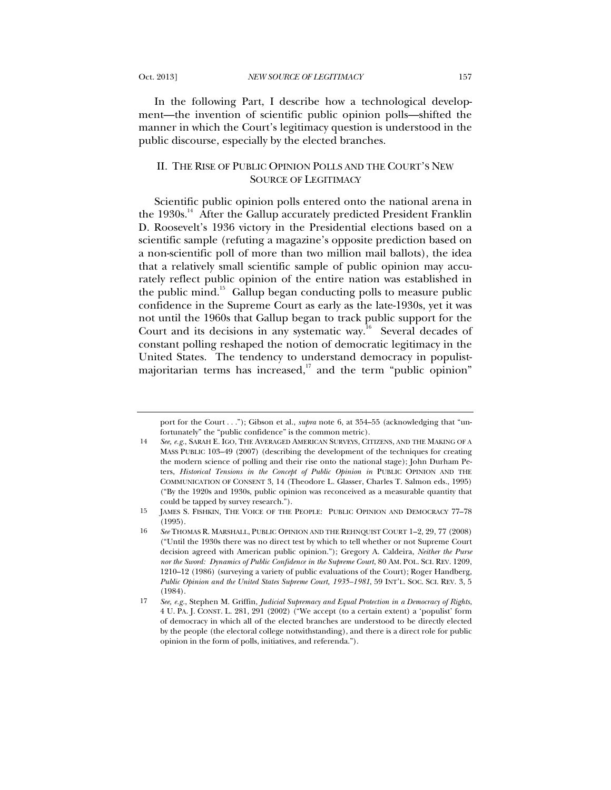In the following Part, I describe how a technological development—the invention of scientific public opinion polls—shifted the manner in which the Court's legitimacy question is understood in the public discourse, especially by the elected branches.

# II. THE RISE OF PUBLIC OPINION POLLS AND THE COURT'S NEW SOURCE OF LEGITIMACY

Scientific public opinion polls entered onto the national arena in the 1930s.<sup>14</sup> After the Gallup accurately predicted President Franklin D. Roosevelt's 1936 victory in the Presidential elections based on a scientific sample (refuting a magazine's opposite prediction based on a non-scientific poll of more than two million mail ballots), the idea that a relatively small scientific sample of public opinion may accurately reflect public opinion of the entire nation was established in the public mind.<sup>15</sup> Gallup began conducting polls to measure public confidence in the Supreme Court as early as the late-1930s, yet it was not until the 1960s that Gallup began to track public support for the Court and its decisions in any systematic way. $16$  Several decades of constant polling reshaped the notion of democratic legitimacy in the United States. The tendency to understand democracy in populistmajoritarian terms has increased, $17$  and the term "public opinion"

port for the Court . . ."); Gibson et al., *supra* note 6, at 354–55 (acknowledging that "unfortunately" the "public confidence" is the common metric).

<sup>14</sup> *See, e.g.*, SARAH E. IGO, THE AVERAGED AMERICAN SURVEYS, CITIZENS, AND THE MAKING OF A MASS PUBLIC 103–49 (2007) (describing the development of the techniques for creating the modern science of polling and their rise onto the national stage); John Durham Peters, *Historical Tensions in the Concept of Public Opinion in* PUBLIC OPINION AND THE COMMUNICATION OF CONSENT 3, 14 (Theodore L. Glasser, Charles T. Salmon eds., 1995) ("By the 1920s and 1930s, public opinion was reconceived as a measurable quantity that could be tapped by survey research.").

<sup>15</sup> JAMES S. FISHKIN, THE VOICE OF THE PEOPLE: PUBLIC OPINION AND DEMOCRACY 77–78 (1995).

<sup>16</sup> *See* THOMAS R. MARSHALL, PUBLIC OPINION AND THE REHNQUIST COURT 1–2, 29, 77 (2008) ("Until the 1930s there was no direct test by which to tell whether or not Supreme Court decision agreed with American public opinion."); Gregory A. Caldeira, *Neither the Purse nor the Sword: Dynamics of Public Confidence in the Supreme Court*, 80 AM. POL. SCI. REV. 1209, 1210–12 (1986) (surveying a variety of public evaluations of the Court); Roger Handberg, *Public Opinion and the United States Supreme Court, 1935–1981*, 59 INT'L. SOC. SCI. REV. 3, 5 (1984).

<sup>17</sup> *See, e.g.*, Stephen M. Griffin, *Judicial Supremacy and Equal Protection in a Democracy of Rights*, 4 U. PA. J. CONST. L. 281, 291 (2002) ("We accept (to a certain extent) a 'populist' form of democracy in which all of the elected branches are understood to be directly elected by the people (the electoral college notwithstanding), and there is a direct role for public opinion in the form of polls, initiatives, and referenda.").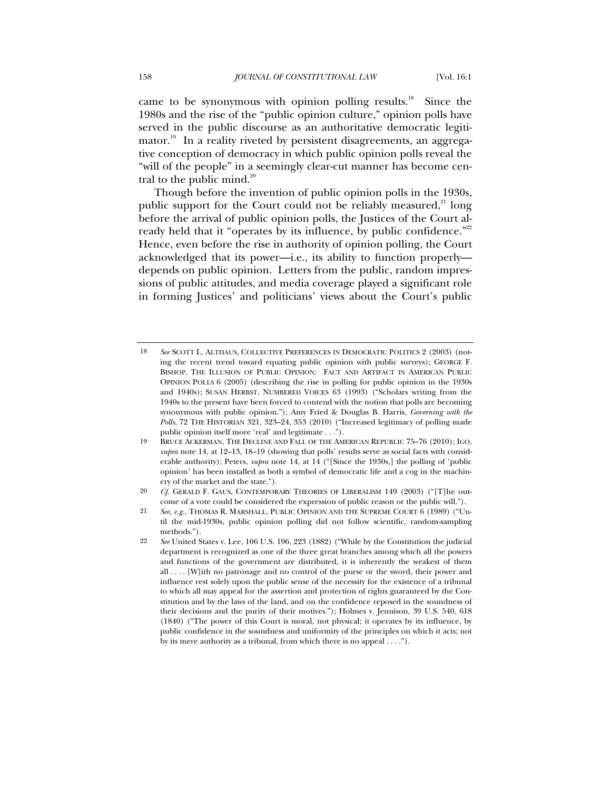came to be synonymous with opinion polling results.<sup>18</sup> Since the 1980s and the rise of the "public opinion culture," opinion polls have served in the public discourse as an authoritative democratic legitimator.<sup>19</sup> In a reality riveted by persistent disagreements, an aggregative conception of democracy in which public opinion polls reveal the "will of the people" in a seemingly clear-cut manner has become central to the public mind. $^{20}$ 

Though before the invention of public opinion polls in the 1930s, public support for the Court could not be reliably measured,<sup>21</sup> long before the arrival of public opinion polls, the Justices of the Court already held that it "operates by its influence, by public confidence."<sup>22</sup> Hence, even before the rise in authority of opinion polling, the Court acknowledged that its power—i.e., its ability to function properly depends on public opinion. Letters from the public, random impressions of public attitudes, and media coverage played a significant role in forming Justices' and politicians' views about the Court's public

<sup>18</sup> *See* SCOTT L. ALTHAUS, COLLECTIVE PREFERENCES IN DEMOCRATIC POLITICS 2 (2003) (noting the recent trend toward equating public opinion with public surveys); GEORGE F. BISHOP, THE ILLUSION OF PUBLIC OPINION: FACT AND ARTIFACT IN AMERICAN PUBLIC OPINION POLLS 6 (2005) (describing the rise in polling for public opinion in the 1930s and 1940s); SUSAN HERBST, NUMBERED VOICES 63 (1993) ("Scholars writing from the 1940s to the present have been forced to contend with the notion that polls are becoming synonymous with public opinion."); Amy Fried & Douglas B. Harris, *Governing with the Polls*, 72 THE HISTORIAN 321, 323–24, 353 (2010) ("Increased legitimacy of polling made public opinion itself more 'real' and legitimate . . .").

<sup>19</sup> BRUCE ACKERMAN, THE DECLINE AND FALL OF THE AMERICAN REPUBLIC 75–76 (2010); IGO, *supra* note 14, at 12–13, 18–19 (showing that polls' results serve as social facts with considerable authority); Peters, *supra* note 14, at 14 ("[Since the 1930s,] the polling of 'public opinion' has been installed as both a symbol of democratic life and a cog in the machinery of the market and the state.").

<sup>20</sup> *Cf*. GERALD F. GAUS, CONTEMPORARY THEORIES OF LIBERALISM 149 (2003) ("[T]he outcome of a vote could be considered the expression of public reason or the public will.").

<sup>21</sup> *See, e.g.*, THOMAS R. MARSHALL, PUBLIC OPINION AND THE SUPREME COURT 6 (1989) ("Until the mid-1930s, public opinion polling did not follow scientific, random-sampling methods.").

<sup>22</sup> *See* United States v. Lee, 106 U.S. 196, 223 (1882) ("While by the Constitution the judicial department is recognized as one of the three great branches among which all the powers and functions of the government are distributed, it is inherently the weakest of them all . . . . [W]ith no patronage and no control of the purse or the sword, their power and influence rest solely upon the public sense of the necessity for the existence of a tribunal to which all may appeal for the assertion and protection of rights guaranteed by the Constitution and by the laws of the land, and on the confidence reposed in the soundness of their decisions and the purity of their motives."); Holmes v. Jennison, 39 U.S. 540, 618 (1840) ("The power of this Court is moral, not physical; it operates by its influence, by public confidence in the soundness and uniformity of the principles on which it acts; not by its mere authority as a tribunal, from which there is no appeal . . . .").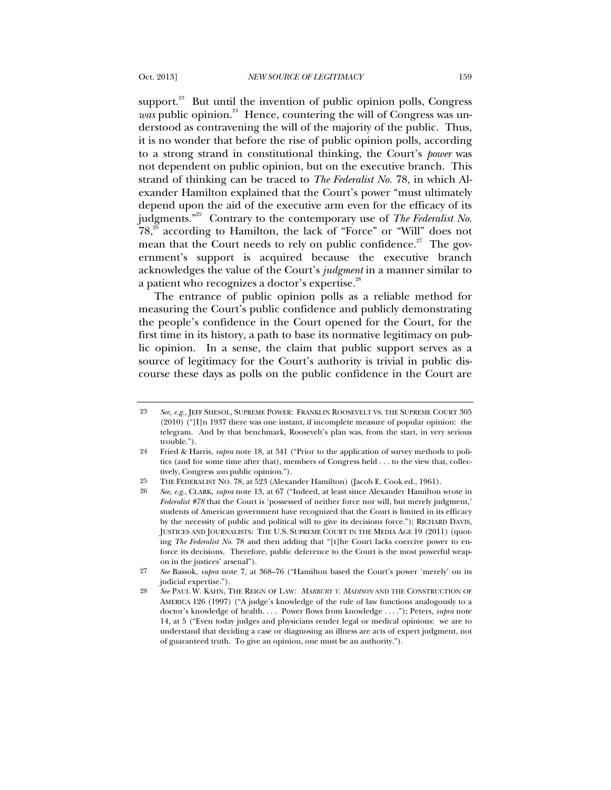support. $^{23}$  But until the invention of public opinion polls, Congress  $was$  public opinion.<sup>24</sup> Hence, countering the will of Congress was understood as contravening the will of the majority of the public. Thus, it is no wonder that before the rise of public opinion polls, according to a strong strand in constitutional thinking, the Court's *power* was not dependent on public opinion, but on the executive branch. This strand of thinking can be traced to *The Federalist No.* 78, in which Alexander Hamilton explained that the Court's power "must ultimately depend upon the aid of the executive arm even for the efficacy of its judgments.<sup>"25</sup> Contrary to the contemporary use of *The Federalist No*.  $78<sub>18</sub><sup>26</sup>$  according to Hamilton, the lack of "Force" or "Will" does not mean that the Court needs to rely on public confidence.<sup>27</sup> The government's support is acquired because the executive branch acknowledges the value of the Court's *judgment* in a manner similar to a patient who recognizes a doctor's expertise.<sup>28</sup>

The entrance of public opinion polls as a reliable method for measuring the Court's public confidence and publicly demonstrating the people's confidence in the Court opened for the Court, for the first time in its history, a path to base its normative legitimacy on public opinion. In a sense, the claim that public support serves as a source of legitimacy for the Court's authority is trivial in public discourse these days as polls on the public confidence in the Court are

<sup>23</sup> *See, e.g.*, JEFF SHESOL, SUPREME POWER: FRANKLIN ROOSEVELT VS. THE SUPREME COURT 305 (2010) ("[I]n 1937 there was one instant, if incomplete measure of popular opinion: the telegram. And by that benchmark, Roosevelt's plan was, from the start, in very serious trouble.").

<sup>24</sup> Fried & Harris, *supra* note 18, at 341 ("Prior to the application of survey methods to politics (and for some time after that), members of Congress held . . . to the view that, collectively, Congress *was* public opinion.").

<sup>25</sup> THE FEDERALIST NO. 78, at 523 (Alexander Hamilton) (Jacob E. Cook ed., 1961).

<sup>26</sup> *See, e.g.*, CLARK, *supra* note 13, at 67 ("Indeed, at least since Alexander Hamilton wrote in *Federalist #78* that the Court is 'possessed of neither force nor will, but merely judgment,' students of American government have recognized that the Court is limited in its efficacy by the necessity of public and political will to give its decisions force."); RICHARD DAVIS, JUSTICES AND JOURNALISTS: THE U.S. SUPREME COURT IN THE MEDIA AGE 19 (2011) (quoting *The Federalist No.* 78 and then adding that "[t]he Court lacks coercive power to enforce its decisions. Therefore, public deference to the Court is the most powerful weapon in the justices' arsenal").

<sup>27</sup> *See* Bassok, *supra* note 7, at 368–76 ("Hamilton based the Court's power 'merely' on its judicial expertise.").

<sup>28</sup> *See* PAUL W. KAHN, THE REIGN OF LAW: *MARBURY V. MADISON* AND THE CONSTRUCTION OF AMERICA 126 (1997) ("A judge's knowledge of the rule of law functions analogously to a doctor's knowledge of health. . . . Power flows from knowledge . . . ."); Peters, *supra* note 14, at 5 ("Even today judges and physicians render legal or medical opinions: we are to understand that deciding a case or diagnosing an illness are acts of expert judgment, not of guaranteed truth. To give an opinion, one must be an authority.").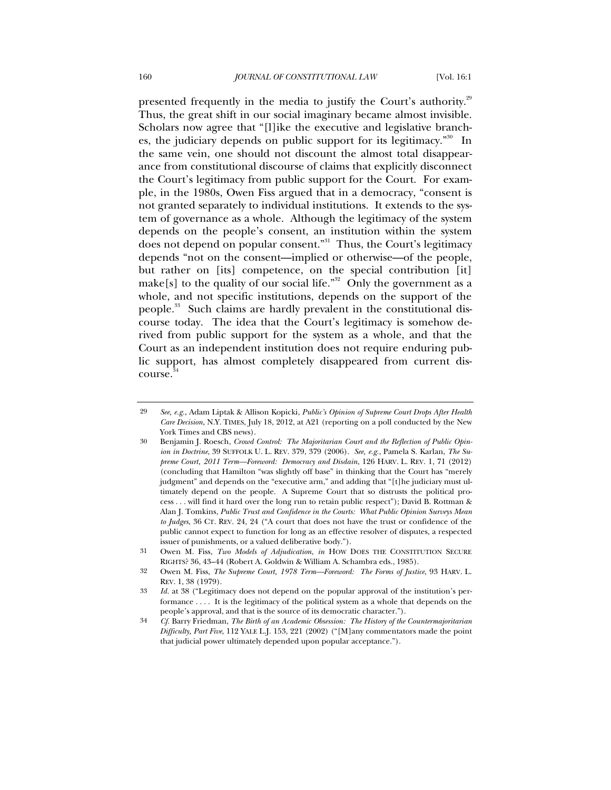presented frequently in the media to justify the Court's authority.<sup>29</sup> Thus, the great shift in our social imaginary became almost invisible. Scholars now agree that "[l]ike the executive and legislative branches, the judiciary depends on public support for its legitimacy."<sup>30</sup> In the same vein, one should not discount the almost total disappearance from constitutional discourse of claims that explicitly disconnect the Court's legitimacy from public support for the Court. For example, in the 1980s, Owen Fiss argued that in a democracy, "consent is not granted separately to individual institutions. It extends to the system of governance as a whole. Although the legitimacy of the system depends on the people's consent, an institution within the system does not depend on popular consent."<sup>31</sup> Thus, the Court's legitimacy depends "not on the consent—implied or otherwise—of the people, but rather on [its] competence, on the special contribution [it] make[s] to the quality of our social life."<sup>32</sup> Only the government as a whole, and not specific institutions, depends on the support of the people.<sup>33</sup> Such claims are hardly prevalent in the constitutional discourse today. The idea that the Court's legitimacy is somehow derived from public support for the system as a whole, and that the Court as an independent institution does not require enduring public support, has almost completely disappeared from current discourse.<sup>34</sup>

<sup>29</sup> *See, e.g.*, Adam Liptak & Allison Kopicki, *Public's Opinion of Supreme Court Drops After Health Care Decision*, N.Y. TIMES, July 18, 2012, at A21 (reporting on a poll conducted by the New York Times and CBS news).

<sup>30</sup> Benjamin J. Roesch, *Crowd Control: The Majoritarian Court and the Reflection of Public Opinion in Doctrine*, 39 SUFFOLK U. L. REV. 379, 379 (2006). *See, e.g.*, Pamela S*.* Karlan, *The Supreme Court, 2011 Term—Foreword: Democracy and Disdain*, 126 HARV. L. REV. 1, 71 (2012) (concluding that Hamilton "was slightly off base" in thinking that the Court has "merely judgment" and depends on the "executive arm," and adding that "[t]he judiciary must ultimately depend on the people. A Supreme Court that so distrusts the political process . . . will find it hard over the long run to retain public respect"); David B. Rottman & Alan J. Tomkins, *Public Trust and Confidence in the Courts: What Public Opinion Surveys Mean to Judges*, 36 CT. REV. 24, 24 ("A court that does not have the trust or confidence of the public cannot expect to function for long as an effective resolver of disputes, a respected issuer of punishments, or a valued deliberative body.").

<sup>31</sup> Owen M. Fiss, *Two Models of Adjudication*, *in* HOW DOES THE CONSTITUTION SECURE RIGHTS? 36, 43–44 (Robert A. Goldwin & William A. Schambra eds., 1985).

<sup>32</sup> Owen M. Fiss, *The Supreme Court, 1978 Term—Foreword: The Forms of Justice*, 93 HARV. L. REV. 1, 38 (1979).

<sup>33</sup> *Id.* at 38 ("Legitimacy does not depend on the popular approval of the institution's performance . . . . It is the legitimacy of the political system as a whole that depends on the people's approval, and that is the source of its democratic character.").

<sup>34</sup> *Cf.* Barry Friedman, *The Birth of an Academic Obsession: The History of the Countermajoritarian Difficulty, Part Five*, 112 YALE L.J. 153, 221 (2002) ("[M]any commentators made the point that judicial power ultimately depended upon popular acceptance.").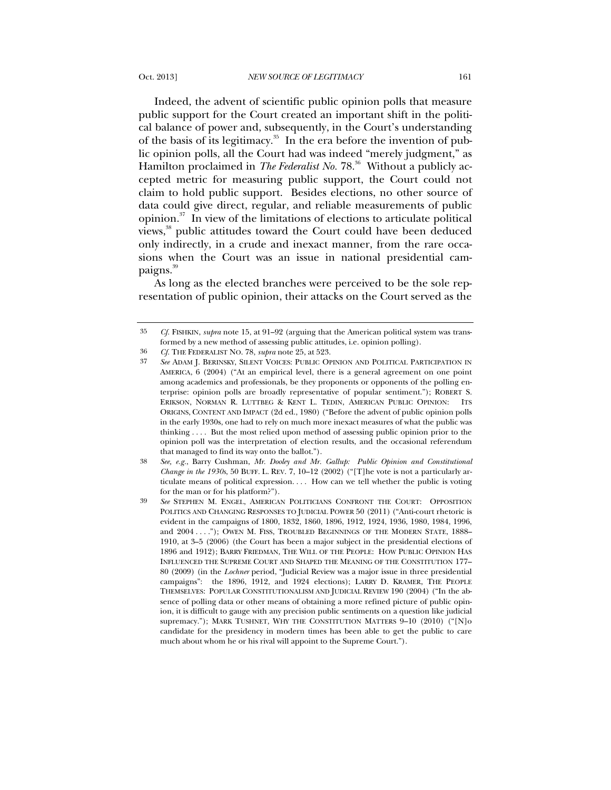Indeed, the advent of scientific public opinion polls that measure public support for the Court created an important shift in the political balance of power and, subsequently, in the Court's understanding of the basis of its legitimacy.<sup>35</sup> In the era before the invention of public opinion polls, all the Court had was indeed "merely judgment," as Hamilton proclaimed in *The Federalist No*. 78.<sup>36</sup> Without a publicly accepted metric for measuring public support, the Court could not claim to hold public support. Besides elections, no other source of data could give direct, regular, and reliable measurements of public opinion.37 In view of the limitations of elections to articulate political views,<sup>38</sup> public attitudes toward the Court could have been deduced only indirectly, in a crude and inexact manner, from the rare occasions when the Court was an issue in national presidential campaigns.<sup>39</sup>

As long as the elected branches were perceived to be the sole representation of public opinion, their attacks on the Court served as the

<sup>35</sup> *Cf.* FISHKIN, *supra* note 15, at 91–92 (arguing that the American political system was transformed by a new method of assessing public attitudes, i.e. opinion polling).

<sup>36</sup> *Cf.* THE FEDERALIST NO. 78, *supra* note 25, at 523.

<sup>37</sup> *See* ADAM J. BERINSKY, SILENT VOICES: PUBLIC OPINION AND POLITICAL PARTICIPATION IN AMERICA, 6 (2004) ("At an empirical level, there is a general agreement on one point among academics and professionals, be they proponents or opponents of the polling enterprise: opinion polls are broadly representative of popular sentiment."); ROBERT S. ERIKSON, NORMAN R. LUTTBEG & KENT L. TEDIN, AMERICAN PUBLIC OPINION: ITS ORIGINS, CONTENT AND IMPACT (2d ed., 1980) ("Before the advent of public opinion polls in the early 1930s, one had to rely on much more inexact measures of what the public was thinking . . . . But the most relied upon method of assessing public opinion prior to the opinion poll was the interpretation of election results, and the occasional referendum that managed to find its way onto the ballot.").

<sup>38</sup> *See, e.g.*, Barry Cushman, *Mr. Dooley and Mr. Gallup: Public Opinion and Constitutional Change in the 1930s*, 50 BUFF. L. REV. 7, 10–12 (2002) ("[T]he vote is not a particularly articulate means of political expression. . . . How can we tell whether the public is voting for the man or for his platform?").

<sup>39</sup> *See* STEPHEN M. ENGEL, AMERICAN POLITICIANS CONFRONT THE COURT: OPPOSITION POLITICS AND CHANGING RESPONSES TO JUDICIAL POWER 50 (2011) ("Anti-court rhetoric is evident in the campaigns of 1800, 1832, 1860, 1896, 1912, 1924, 1936, 1980, 1984, 1996, and 2004 . . . ."); OWEN M. FISS, TROUBLED BEGINNINGS OF THE MODERN STATE, 1888-1910, at 3–5 (2006) (the Court has been a major subject in the presidential elections of 1896 and 1912); BARRY FRIEDMAN, THE WILL OF THE PEOPLE: HOW PUBLIC OPINION HAS INFLUENCED THE SUPREME COURT AND SHAPED THE MEANING OF THE CONSTITUTION 177– 80 (2009) (in the *Lochner* period, "Judicial Review was a major issue in three presidential campaigns": the 1896, 1912, and 1924 elections); LARRY D. KRAMER, THE PEOPLE THEMSELVES: POPULAR CONSTITUTIONALISM AND JUDICIAL REVIEW 190 (2004) ("In the absence of polling data or other means of obtaining a more refined picture of public opinion, it is difficult to gauge with any precision public sentiments on a question like judicial supremacy."); MARK TUSHNET, WHY THE CONSTITUTION MATTERS  $9-10$  (2010) ("[N]o candidate for the presidency in modern times has been able to get the public to care much about whom he or his rival will appoint to the Supreme Court.").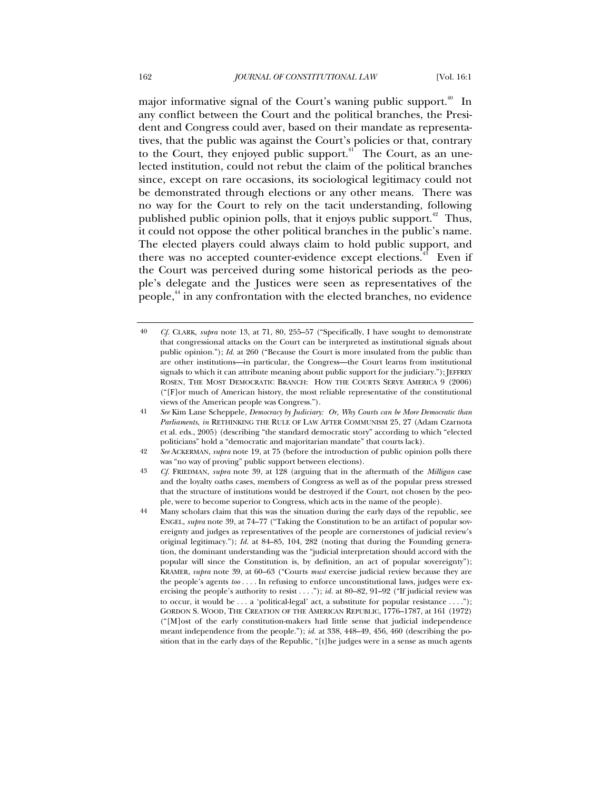major informative signal of the Court's waning public support.<sup>40</sup> In any conflict between the Court and the political branches, the President and Congress could aver, based on their mandate as representatives, that the public was against the Court's policies or that, contrary to the Court, they enjoyed public support. $4$  The Court, as an unelected institution, could not rebut the claim of the political branches since, except on rare occasions, its sociological legitimacy could not be demonstrated through elections or any other means. There was no way for the Court to rely on the tacit understanding, following published public opinion polls, that it enjoys public support. 42 Thus, it could not oppose the other political branches in the public's name. The elected players could always claim to hold public support, and there was no accepted counter-evidence except elections.<sup>43</sup> Even if the Court was perceived during some historical periods as the people's delegate and the Justices were seen as representatives of the people,44 in any confrontation with the elected branches, no evidence

<sup>40</sup> *Cf.* CLARK, *supra* note 13, at 71, 80, 255–57 ("Specifically, I have sought to demonstrate that congressional attacks on the Court can be interpreted as institutional signals about public opinion."); *Id.* at 260 ("Because the Court is more insulated from the public than are other institutions—in particular, the Congress—the Court learns from institutional signals to which it can attribute meaning about public support for the judiciary."); JEFFREY ROSEN, THE MOST DEMOCRATIC BRANCH: HOW THE COURTS SERVE AMERICA 9 (2006) ("[F]or much of American history, the most reliable representative of the constitutional views of the American people was Congress.").

<sup>41</sup> *See* Kim Lane Scheppele, *Democracy by Judiciary: Or, Why Courts can be More Democratic than Parliaments*, *in* RETHINKING THE RULE OF LAW AFTER COMMUNISM 25, 27 (Adam Czarnota et al. eds., 2005) (describing "the standard democratic story" according to which "elected politicians" hold a "democratic and majoritarian mandate" that courts lack).

<sup>42</sup> *See* ACKERMAN, *supra* note 19, at 75 (before the introduction of public opinion polls there was "no way of proving" public support between elections).

<sup>43</sup> *Cf.* FRIEDMAN, *supra* note 39, at 128 (arguing that in the aftermath of the *Milligan* case and the loyalty oaths cases, members of Congress as well as of the popular press stressed that the structure of institutions would be destroyed if the Court, not chosen by the people, were to become superior to Congress, which acts in the name of the people).

<sup>44</sup> Many scholars claim that this was the situation during the early days of the republic, see ENGEL, *supra* note 39, at 74–77 ("Taking the Constitution to be an artifact of popular sovereignty and judges as representatives of the people are cornerstones of judicial review's original legitimacy."); *Id.* at 84–85, 104, 282 (noting that during the Founding generation, the dominant understanding was the "judicial interpretation should accord with the popular will since the Constitution is, by definition, an act of popular sovereignty"); KRAMER, *supra* note 39, at 60–63 ("Courts *must* exercise judicial review because they are the people's agents *too* . . . . In refusing to enforce unconstitutional laws, judges were exercising the people's authority to resist . . . ."); *id.* at 80–82, 91–92 ("If judicial review was to occur, it would be . . . a 'political-legal' act, a substitute for popular resistance . . . ."); GORDON S. WOOD, THE CREATION OF THE AMERICAN REPUBLIC, 1776–1787, at 161 (1972) ("[M]ost of the early constitution-makers had little sense that judicial independence meant independence from the people."); *id.* at 338, 448–49, 456, 460 (describing the position that in the early days of the Republic, "[t]he judges were in a sense as much agents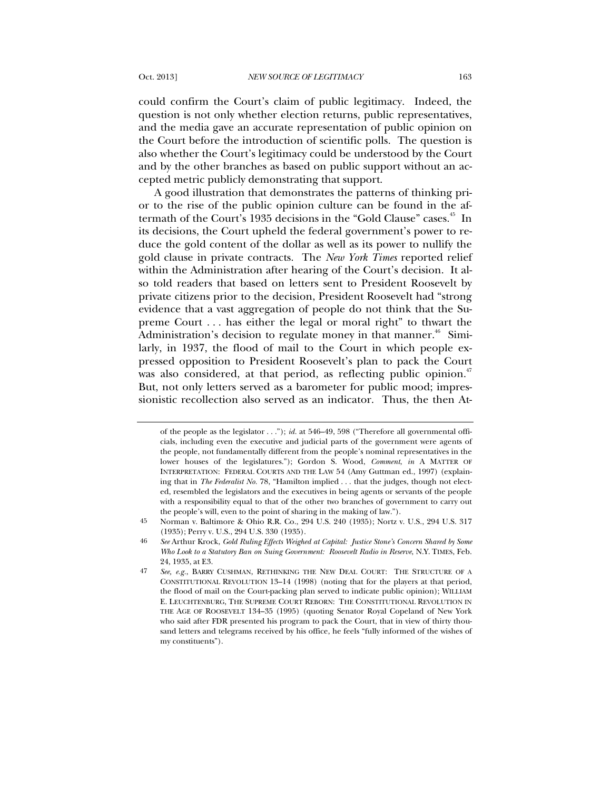could confirm the Court's claim of public legitimacy. Indeed, the question is not only whether election returns, public representatives, and the media gave an accurate representation of public opinion on the Court before the introduction of scientific polls. The question is also whether the Court's legitimacy could be understood by the Court and by the other branches as based on public support without an accepted metric publicly demonstrating that support.

A good illustration that demonstrates the patterns of thinking prior to the rise of the public opinion culture can be found in the aftermath of the Court's 1935 decisions in the "Gold Clause" cases.<sup>45</sup> In its decisions, the Court upheld the federal government's power to reduce the gold content of the dollar as well as its power to nullify the gold clause in private contracts. The *New York Times* reported relief within the Administration after hearing of the Court's decision. It also told readers that based on letters sent to President Roosevelt by private citizens prior to the decision, President Roosevelt had "strong evidence that a vast aggregation of people do not think that the Supreme Court . . . has either the legal or moral right" to thwart the Administration's decision to regulate money in that manner.<sup>46</sup> Similarly, in 1937, the flood of mail to the Court in which people expressed opposition to President Roosevelt's plan to pack the Court was also considered, at that period, as reflecting public opinion.<sup>47</sup> But, not only letters served as a barometer for public mood; impressionistic recollection also served as an indicator. Thus, the then At-

of the people as the legislator . . ."); *id.* at 546–49, 598 ("Therefore all governmental officials, including even the executive and judicial parts of the government were agents of the people, not fundamentally different from the people's nominal representatives in the lower houses of the legislatures."); Gordon S. Wood, *Comment*, *in* A MATTER OF INTERPRETATION: FEDERAL COURTS AND THE LAW 54 (Amy Guttman ed., 1997) (explaining that in *The Federalist No.* 78, "Hamilton implied . . . that the judges, though not elected, resembled the legislators and the executives in being agents or servants of the people with a responsibility equal to that of the other two branches of government to carry out the people's will, even to the point of sharing in the making of law.").

<sup>45</sup> Norman v. Baltimore & Ohio R.R. Co., 294 U.S. 240 (1935); Nortz v. U.S., 294 U.S. 317 (1935); Perry v. U.S., 294 U.S. 330 (1935).

<sup>46</sup> *See* Arthur Krock, *Gold Ruling Effects Weighed at Capital: Justice Stone's Concern Shared by Some Who Look to a Statutory Ban on Suing Government: Roosevelt Radio in Reserve*, N.Y. TIMES, Feb. 24, 1935, at E3.

<sup>47</sup> *See, e.g.*, BARRY CUSHMAN, RETHINKING THE NEW DEAL COURT: THE STRUCTURE OF A CONSTITUTIONAL REVOLUTION 13–14 (1998) (noting that for the players at that period, the flood of mail on the Court-packing plan served to indicate public opinion); WILLIAM E. LEUCHTENBURG, THE SUPREME COURT REBORN: THE CONSTITUTIONAL REVOLUTION IN THE AGE OF ROOSEVELT 134–35 (1995) (quoting Senator Royal Copeland of New York who said after FDR presented his program to pack the Court, that in view of thirty thousand letters and telegrams received by his office, he feels "fully informed of the wishes of my constituents").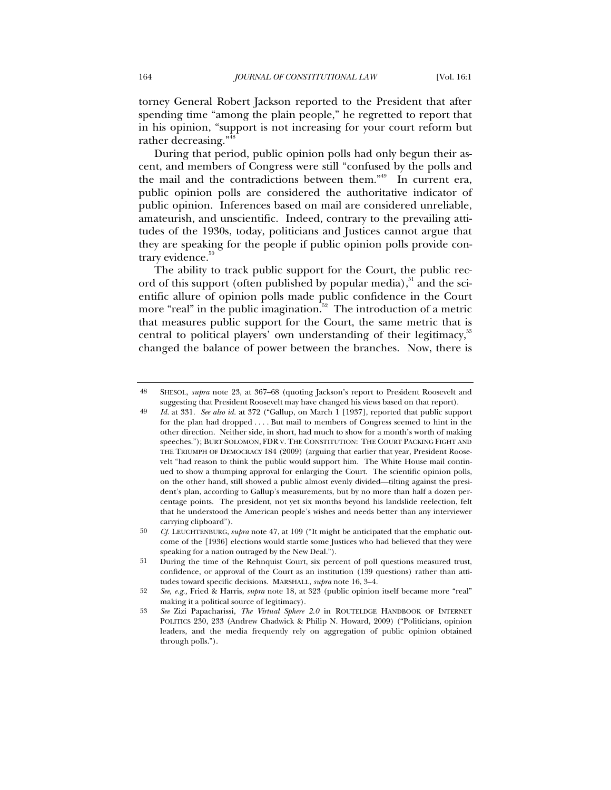torney General Robert Jackson reported to the President that after spending time "among the plain people," he regretted to report that in his opinion, "support is not increasing for your court reform but rather decreasing."<sup>48</sup>

During that period, public opinion polls had only begun their ascent, and members of Congress were still "confused by the polls and the mail and the contradictions between them."49 In current era, public opinion polls are considered the authoritative indicator of public opinion. Inferences based on mail are considered unreliable, amateurish, and unscientific. Indeed, contrary to the prevailing attitudes of the 1930s, today, politicians and Justices cannot argue that they are speaking for the people if public opinion polls provide contrary evidence.<sup>50</sup>

The ability to track public support for the Court, the public record of this support (often published by popular media), $51$  and the scientific allure of opinion polls made public confidence in the Court more "real" in the public imagination.<sup>52</sup> The introduction of a metric that measures public support for the Court, the same metric that is central to political players' own understanding of their legitimacy,<sup>53</sup> changed the balance of power between the branches. Now, there is

<sup>48</sup> SHESOL, *supra* note 23, at 367–68 (quoting Jackson's report to President Roosevelt and suggesting that President Roosevelt may have changed his views based on that report).

<sup>49</sup> *Id.* at 331. *See also id.* at 372 ("Gallup, on March 1 [1937], reported that public support for the plan had dropped . . . . But mail to members of Congress seemed to hint in the other direction. Neither side, in short, had much to show for a month's worth of making speeches."); BURT SOLOMON, FDR V. THE CONSTITUTION: THE COURT PACKING FIGHT AND THE TRIUMPH OF DEMOCRACY 184 (2009) (arguing that earlier that year, President Roosevelt "had reason to think the public would support him. The White House mail continued to show a thumping approval for enlarging the Court. The scientific opinion polls, on the other hand, still showed a public almost evenly divided—tilting against the president's plan, according to Gallup's measurements, but by no more than half a dozen percentage points. The president, not yet six months beyond his landslide reelection, felt that he understood the American people's wishes and needs better than any interviewer carrying clipboard").

<sup>50</sup> *Cf.* LEUCHTENBURG, *supra* note 47, at 109 ("It might be anticipated that the emphatic outcome of the [1936] elections would startle some Justices who had believed that they were speaking for a nation outraged by the New Deal.").

<sup>51</sup> During the time of the Rehnquist Court, six percent of poll questions measured trust, confidence, or approval of the Court as an institution (139 questions) rather than attitudes toward specific decisions. MARSHALL, *supra* note 16, 3–4.

<sup>52</sup> *See, e.g.,* Fried & Harris, *supra* note 18, at 323 (public opinion itself became more "real" making it a political source of legitimacy).

<sup>53</sup> *See* Zizi Papacharissi, *The Virtual Sphere 2.0* in ROUTELDGE HANDBOOK OF INTERNET POLITICS 230, 233 (Andrew Chadwick & Philip N. Howard, 2009) ("Politicians, opinion leaders, and the media frequently rely on aggregation of public opinion obtained through polls.").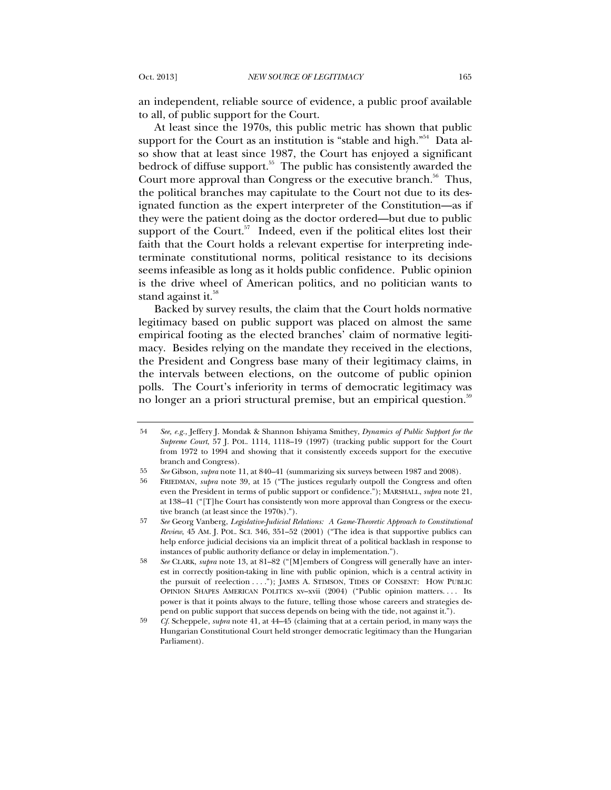an independent, reliable source of evidence, a public proof available to all, of public support for the Court.

At least since the 1970s, this public metric has shown that public support for the Court as an institution is "stable and high."<sup>54</sup> Data also show that at least since 1987, the Court has enjoyed a significant bedrock of diffuse support.<sup>55</sup> The public has consistently awarded the Court more approval than Congress or the executive branch.<sup>56</sup> Thus, the political branches may capitulate to the Court not due to its designated function as the expert interpreter of the Constitution—as if they were the patient doing as the doctor ordered—but due to public support of the Court. $57$  Indeed, even if the political elites lost their faith that the Court holds a relevant expertise for interpreting indeterminate constitutional norms, political resistance to its decisions seems infeasible as long as it holds public confidence. Public opinion is the drive wheel of American politics, and no politician wants to stand against it.<sup>58</sup>

Backed by survey results, the claim that the Court holds normative legitimacy based on public support was placed on almost the same empirical footing as the elected branches' claim of normative legitimacy. Besides relying on the mandate they received in the elections, the President and Congress base many of their legitimacy claims, in the intervals between elections, on the outcome of public opinion polls. The Court's inferiority in terms of democratic legitimacy was no longer an a priori structural premise, but an empirical question.<sup>59</sup>

<sup>54</sup> *See, e.g.,* Jeffery J. Mondak & Shannon Ishiyama Smithey, *Dynamics of Public Support for the Supreme Court*, 57 J. POL. 1114, 1118–19 (1997) (tracking public support for the Court from 1972 to 1994 and showing that it consistently exceeds support for the executive branch and Congress).

<sup>55</sup> *See* Gibson, *supra* note 11, at 840–41 (summarizing six surveys between 1987 and 2008).

<sup>56</sup> FRIEDMAN, *supra* note 39, at 15 ("The justices regularly outpoll the Congress and often even the President in terms of public support or confidence."); MARSHALL, *supra* note 21, at 138–41 ("[T]he Court has consistently won more approval than Congress or the executive branch (at least since the 1970s).").

<sup>57</sup> *See* Georg Vanberg, *Legislative-Judicial Relations: A Game-Theoretic Approach to Constitutional Review*, 45 AM. J. POL. SCI. 346, 351–52 (2001) ("The idea is that supportive publics can help enforce judicial decisions via an implicit threat of a political backlash in response to instances of public authority defiance or delay in implementation.").

<sup>58</sup> *See* CLARK, *supra* note 13, at 81–82 ("[M]embers of Congress will generally have an interest in correctly position-taking in line with public opinion, which is a central activity in the pursuit of reelection . . . ."); JAMES A. STIMSON, TIDES OF CONSENT: HOW PUBLIC OPINION SHAPES AMERICAN POLITICS xv-xvii (2004) ("Public opinion matters.... Its power is that it points always to the future, telling those whose careers and strategies depend on public support that success depends on being with the tide, not against it.").

<sup>59</sup> *Cf.* Scheppele, *supra* note 41, at 44–45 (claiming that at a certain period, in many ways the Hungarian Constitutional Court held stronger democratic legitimacy than the Hungarian Parliament).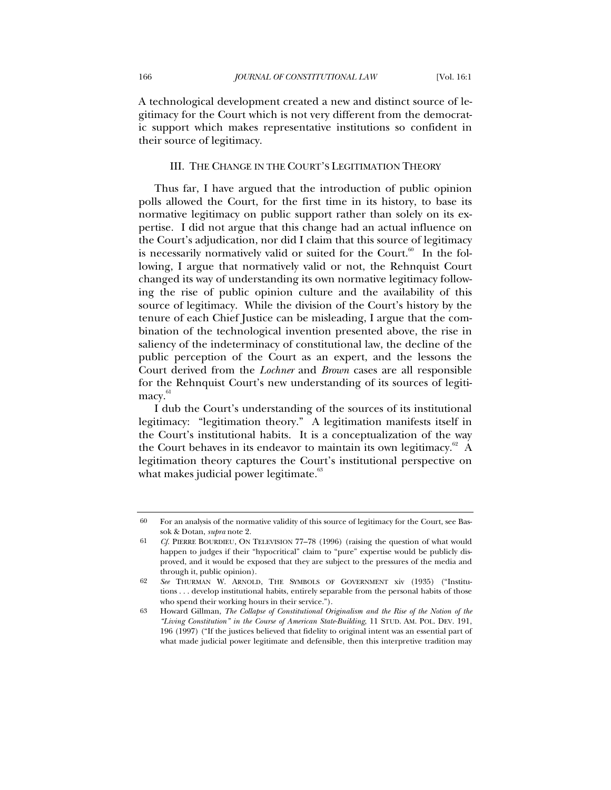A technological development created a new and distinct source of legitimacy for the Court which is not very different from the democratic support which makes representative institutions so confident in their source of legitimacy.

# III. THE CHANGE IN THE COURT'S LEGITIMATION THEORY

Thus far, I have argued that the introduction of public opinion polls allowed the Court, for the first time in its history, to base its normative legitimacy on public support rather than solely on its expertise. I did not argue that this change had an actual influence on the Court's adjudication, nor did I claim that this source of legitimacy is necessarily normatively valid or suited for the Court. $\overset{\scriptscriptstyle{60}}{\text{o}}$  In the following, I argue that normatively valid or not, the Rehnquist Court changed its way of understanding its own normative legitimacy following the rise of public opinion culture and the availability of this source of legitimacy. While the division of the Court's history by the tenure of each Chief Justice can be misleading, I argue that the combination of the technological invention presented above, the rise in saliency of the indeterminacy of constitutional law, the decline of the public perception of the Court as an expert, and the lessons the Court derived from the *Lochner* and *Brown* cases are all responsible for the Rehnquist Court's new understanding of its sources of legitimacy.<sup>61</sup>

I dub the Court's understanding of the sources of its institutional legitimacy: "legitimation theory." A legitimation manifests itself in the Court's institutional habits. It is a conceptualization of the way the Court behaves in its endeavor to maintain its own legitimacy. $62 A$ legitimation theory captures the Court's institutional perspective on what makes judicial power legitimate. $63$ 

<sup>60</sup> For an analysis of the normative validity of this source of legitimacy for the Court, see Bassok & Dotan, *supra* note 2.

<sup>61</sup> *Cf.* PIERRE BOURDIEU, ON TELEVISION 77–78 (1996) (raising the question of what would happen to judges if their "hypocritical" claim to "pure" expertise would be publicly disproved, and it would be exposed that they are subject to the pressures of the media and through it, public opinion).

<sup>62</sup> *See* THURMAN W. ARNOLD, THE SYMBOLS OF GOVERNMENT xiv (1935) ("Institutions . . . develop institutional habits, entirely separable from the personal habits of those who spend their working hours in their service.").

<sup>63</sup> Howard Gillman, *The Collapse of Constitutional Originalism and the Rise of the Notion of the "Living Constitution" in the Course of American State-Building*, 11 STUD. AM. POL. DEV. 191, 196 (1997) ("If the justices believed that fidelity to original intent was an essential part of what made judicial power legitimate and defensible, then this interpretive tradition may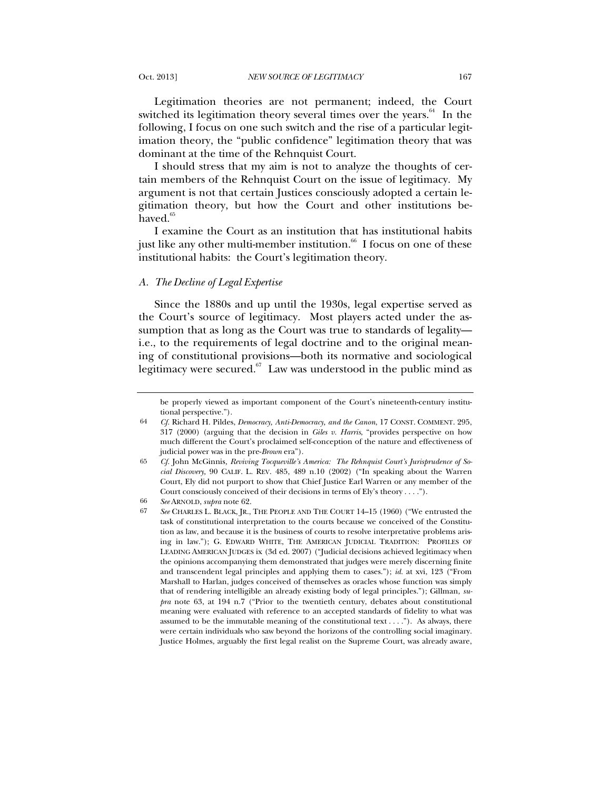Legitimation theories are not permanent; indeed, the Court switched its legitimation theory several times over the years. $64$  In the following, I focus on one such switch and the rise of a particular legitimation theory, the "public confidence" legitimation theory that was dominant at the time of the Rehnquist Court.

I should stress that my aim is not to analyze the thoughts of certain members of the Rehnquist Court on the issue of legitimacy. My argument is not that certain Justices consciously adopted a certain legitimation theory, but how the Court and other institutions behaved.<sup>65</sup>

I examine the Court as an institution that has institutional habits just like any other multi-member institution.<sup>66</sup> I focus on one of these institutional habits: the Court's legitimation theory.

#### *A. The Decline of Legal Expertise*

Since the 1880s and up until the 1930s, legal expertise served as the Court's source of legitimacy. Most players acted under the assumption that as long as the Court was true to standards of legality i.e., to the requirements of legal doctrine and to the original meaning of constitutional provisions—both its normative and sociological legitimacy were secured. $57$  Law was understood in the public mind as

be properly viewed as important component of the Court's nineteenth-century institutional perspective.").

<sup>64</sup> *Cf.* Richard H. Pildes, *Democracy, Anti-Democracy, and the Canon*, 17 CONST. COMMENT. 295, 317 (2000) (arguing that the decision in *Giles v. Harris*, "provides perspective on how much different the Court's proclaimed self-conception of the nature and effectiveness of judicial power was in the pre-*Brown* era").

<sup>65</sup> *Cf.* John McGinnis*, Reviving Tocqueville's America: The Rehnquist Court's Jurisprudence of Social Discovery,* 90 CALIF. L. REV. 485, 489 n.10 (2002) ("In speaking about the Warren Court, Ely did not purport to show that Chief Justice Earl Warren or any member of the Court consciously conceived of their decisions in terms of Ely's theory . . . .").

<sup>66</sup> *See* ARNOLD, *supra* note 62.

<sup>67</sup> *See* CHARLES L. BLACK, JR., THE PEOPLE AND THE COURT 14–15 (1960) ("We entrusted the task of constitutional interpretation to the courts because we conceived of the Constitution as law, and because it is the business of courts to resolve interpretative problems arising in law."); G. EDWARD WHITE, THE AMERICAN JUDICIAL TRADITION: PROFILES OF LEADING AMERICAN JUDGES ix (3d ed. 2007) ("Judicial decisions achieved legitimacy when the opinions accompanying them demonstrated that judges were merely discerning finite and transcendent legal principles and applying them to cases."); *id.* at xvi, 123 ("From Marshall to Harlan, judges conceived of themselves as oracles whose function was simply that of rendering intelligible an already existing body of legal principles."); Gillman, *supra* note 63, at 194 n.7 ("Prior to the twentieth century, debates about constitutional meaning were evaluated with reference to an accepted standards of fidelity to what was assumed to be the immutable meaning of the constitutional text . . . ."). As always, there were certain individuals who saw beyond the horizons of the controlling social imaginary. Justice Holmes, arguably the first legal realist on the Supreme Court, was already aware,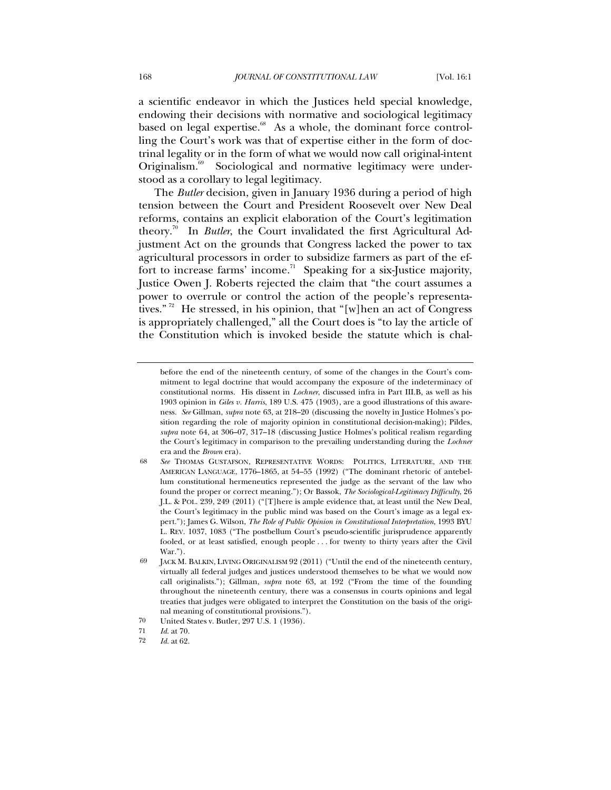a scientific endeavor in which the Justices held special knowledge, endowing their decisions with normative and sociological legitimacy based on legal expertise.<sup>68</sup> As a whole, the dominant force controlling the Court's work was that of expertise either in the form of doctrinal legality or in the form of what we would now call original-intent Originalism.<sup>69</sup> Sociological and normative legitimacy were understood as a corollary to legal legitimacy.

The *Butler* decision, given in January 1936 during a period of high tension between the Court and President Roosevelt over New Deal reforms, contains an explicit elaboration of the Court's legitimation theory.<sup>70</sup> In *Butler*, the Court invalidated the first Agricultural Adjustment Act on the grounds that Congress lacked the power to tax agricultural processors in order to subsidize farmers as part of the effort to increase farms' income.<sup>71</sup> Speaking for a six-Justice majority, Justice Owen J. Roberts rejected the claim that "the court assumes a power to overrule or control the action of the people's representatives."<sup>72</sup> He stressed, in his opinion, that "[w] hen an act of Congress is appropriately challenged," all the Court does is "to lay the article of the Constitution which is invoked beside the statute which is chal-

before the end of the nineteenth century, of some of the changes in the Court's commitment to legal doctrine that would accompany the exposure of the indeterminacy of constitutional norms. His dissent in *Lochner*, discussed infra in Part III.B, as well as his 1903 opinion in *Giles v. Harris*, 189 U.S. 475 (1903), are a good illustrations of this awareness. *See* Gillman, *supra* note 63, at 218–20 (discussing the novelty in Justice Holmes's position regarding the role of majority opinion in constitutional decision-making); Pildes, *supra* note 64, at 306–07, 317–18 (discussing Justice Holmes's political realism regarding the Court's legitimacy in comparison to the prevailing understanding during the *Lochner* era and the *Brown* era).

<sup>68</sup> *See* THOMAS GUSTAFSON, REPRESENTATIVE WORDS: POLITICS, LITERATURE, AND THE AMERICAN LANGUAGE, 1776–1865, at 54–55 (1992) ("The dominant rhetoric of antebellum constitutional hermeneutics represented the judge as the servant of the law who found the proper or correct meaning."); Or Bassok, *The Sociological-Legitimacy Difficulty*, 26 J.L. & POL. 239, 249 (2011) ("[T]here is ample evidence that, at least until the New Deal, the Court's legitimacy in the public mind was based on the Court's image as a legal expert."); James G. Wilson, *The Role of Public Opinion in Constitutional Interpretation*, 1993 BYU L. REV. 1037, 1083 ("The postbellum Court's pseudo-scientific jurisprudence apparently fooled, or at least satisfied, enough people . . . for twenty to thirty years after the Civil War.").

<sup>69</sup> JACK M. BALKIN, LIVING ORIGINALISM 92 (2011) ("Until the end of the nineteenth century, virtually all federal judges and justices understood themselves to be what we would now call originalists."); Gillman, *supra* note 63, at 192 ("From the time of the founding throughout the nineteenth century, there was a consensus in courts opinions and legal treaties that judges were obligated to interpret the Constitution on the basis of the original meaning of constitutional provisions.").

<sup>70</sup> United States v. Butler, 297 U.S. 1 (1936).

<sup>71</sup> *Id*. at 70.

<sup>72</sup> *Id*. at 62.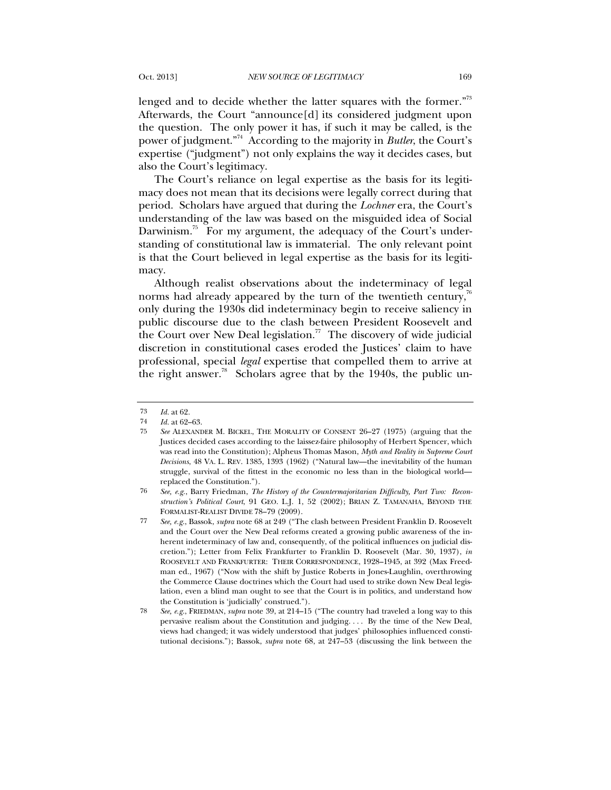lenged and to decide whether the latter squares with the former."<sup>73</sup> Afterwards, the Court "announce[d] its considered judgment upon the question. The only power it has, if such it may be called, is the power of judgment."74 According to the majority in *Butler*, the Court's expertise ("judgment") not only explains the way it decides cases, but also the Court's legitimacy.

The Court's reliance on legal expertise as the basis for its legitimacy does not mean that its decisions were legally correct during that period. Scholars have argued that during the *Lochner* era, the Court's understanding of the law was based on the misguided idea of Social Darwinism.<sup>75</sup> For my argument, the adequacy of the Court's understanding of constitutional law is immaterial. The only relevant point is that the Court believed in legal expertise as the basis for its legitimacy.

Although realist observations about the indeterminacy of legal norms had already appeared by the turn of the twentieth century, $^{76}$ only during the 1930s did indeterminacy begin to receive saliency in public discourse due to the clash between President Roosevelt and the Court over New Deal legislation.<sup>77</sup> The discovery of wide judicial discretion in constitutional cases eroded the Justices' claim to have professional, special *legal* expertise that compelled them to arrive at the right answer.<sup>78</sup> Scholars agree that by the 1940s, the public un-

<sup>73</sup> *Id.* at 62.

<sup>74</sup> *Id.* at 62–63.

<sup>75</sup> *See* ALEXANDER M. BICKEL, THE MORALITY OF CONSENT 26–27 (1975) (arguing that the Justices decided cases according to the laissez-faire philosophy of Herbert Spencer, which was read into the Constitution); Alpheus Thomas Mason, *Myth and Reality in Supreme Court Decisions*, 48 VA. L. REV. 1385, 1393 (1962) ("Natural law—the inevitability of the human struggle, survival of the fittest in the economic no less than in the biological world replaced the Constitution.").

<sup>76</sup> *See, e.g.*, Barry Friedman, *The History of the Countermajoritarian Difficulty, Part Two: Reconstruction's Political Court*, 91 GEO. L.J. 1, 52 (2002); BRIAN Z. TAMANAHA, BEYOND THE FORMALIST-REALIST DIVIDE 78–79 (2009).

<sup>77</sup> *See, e.g.*, Bassok, *supra* note 68 at 249 ("The clash between President Franklin D. Roosevelt and the Court over the New Deal reforms created a growing public awareness of the inherent indeterminacy of law and, consequently, of the political influences on judicial discretion."); Letter from Felix Frankfurter to Franklin D. Roosevelt (Mar. 30, 1937), *in* ROOSEVELT AND FRANKFURTER: THEIR CORRESPONDENCE, 1928–1945, at 392 (Max Freedman ed., 1967) ("Now with the shift by Justice Roberts in Jones-Laughlin, overthrowing the Commerce Clause doctrines which the Court had used to strike down New Deal legislation, even a blind man ought to see that the Court is in politics, and understand how the Constitution is 'judicially' construed.").

<sup>78</sup> *See, e.g.*, FRIEDMAN, *supra* note 39, at 214–15 ("The country had traveled a long way to this pervasive realism about the Constitution and judging. . . . By the time of the New Deal, views had changed; it was widely understood that judges' philosophies influenced constitutional decisions."); Bassok, *supra* note 68, at 247–53 (discussing the link between the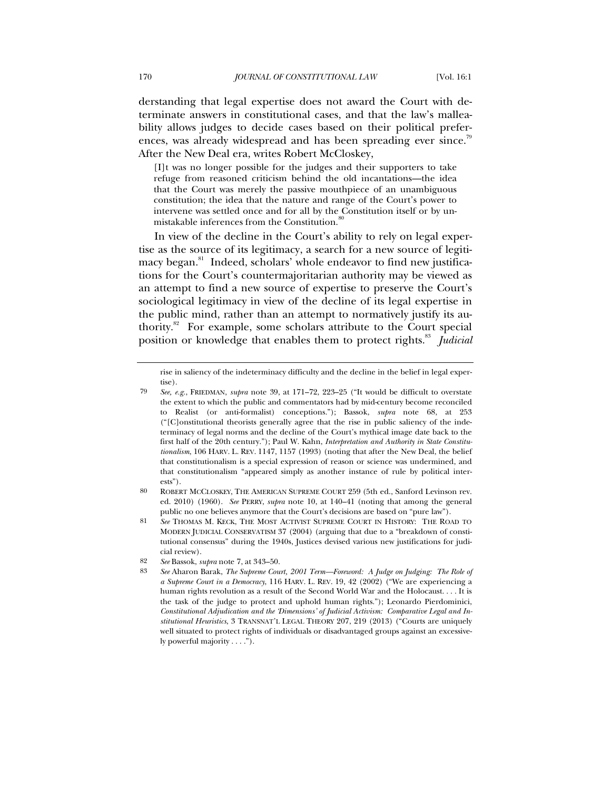derstanding that legal expertise does not award the Court with determinate answers in constitutional cases, and that the law's malleability allows judges to decide cases based on their political preferences, was already widespread and has been spreading ever since.<sup>79</sup> After the New Deal era, writes Robert McCloskey,

[I]t was no longer possible for the judges and their supporters to take refuge from reasoned criticism behind the old incantations—the idea that the Court was merely the passive mouthpiece of an unambiguous constitution; the idea that the nature and range of the Court's power to intervene was settled once and for all by the Constitution itself or by unmistakable inferences from the Constitution.<sup>8</sup>

In view of the decline in the Court's ability to rely on legal expertise as the source of its legitimacy, a search for a new source of legitimacy began.<sup>81</sup> Indeed, scholars' whole endeavor to find new justifications for the Court's countermajoritarian authority may be viewed as an attempt to find a new source of expertise to preserve the Court's sociological legitimacy in view of the decline of its legal expertise in the public mind, rather than an attempt to normatively justify its authority.<sup>82</sup> For example, some scholars attribute to the Court special position or knowledge that enables them to protect rights.<sup>83</sup> *Judicial* 

rise in saliency of the indeterminacy difficulty and the decline in the belief in legal expertise).

<sup>79</sup> *See, e.g.*, FRIEDMAN, *supra* note 39, at 171–72, 223–25 ("It would be difficult to overstate the extent to which the public and commentators had by mid-century become reconciled to Realist (or anti-formalist) conceptions."); Bassok, *supra* note 68, at 253 ("[C]onstitutional theorists generally agree that the rise in public saliency of the indeterminacy of legal norms and the decline of the Court's mythical image date back to the first half of the 20th century."); Paul W. Kahn, *Interpretation and Authority in State Constitutionalism*, 106 HARV. L. REV. 1147, 1157 (1993) (noting that after the New Deal, the belief that constitutionalism is a special expression of reason or science was undermined, and that constitutionalism "appeared simply as another instance of rule by political interests").

<sup>80</sup> ROBERT MCCLOSKEY, THE AMERICAN SUPREME COURT 259 (5th ed., Sanford Levinson rev. ed. 2010) (1960). *See* PERRY, *supra* note 10, at 140–41 (noting that among the general public no one believes anymore that the Court's decisions are based on "pure law").

<sup>81</sup> *See* THOMAS M. KECK, THE MOST ACTIVIST SUPREME COURT IN HISTORY: THE ROAD TO MODERN JUDICIAL CONSERVATISM 37 (2004) (arguing that due to a "breakdown of constitutional consensus" during the 1940s, Justices devised various new justifications for judicial review).

<sup>82</sup> *See* Bassok, *supra* note 7, at 343–50.

<sup>83</sup> *See* Aharon Barak, *The Supreme Court, 2001 Term—Foreword: A Judge on Judging: The Role of a Supreme Court in a Democracy*, 116 HARV. L. REV. 19, 42 (2002) ("We are experiencing a human rights revolution as a result of the Second World War and the Holocaust. . . . It is the task of the judge to protect and uphold human rights."); Leonardo Pierdominici, *Constitutional Adjudication and the 'Dimensions' of Judicial Activism: Comparative Legal and Institutional Heuristics*, 3 TRANSNAT'L LEGAL THEORY 207, 219 (2013) ("Courts are uniquely well situated to protect rights of individuals or disadvantaged groups against an excessively powerful majority . . . .").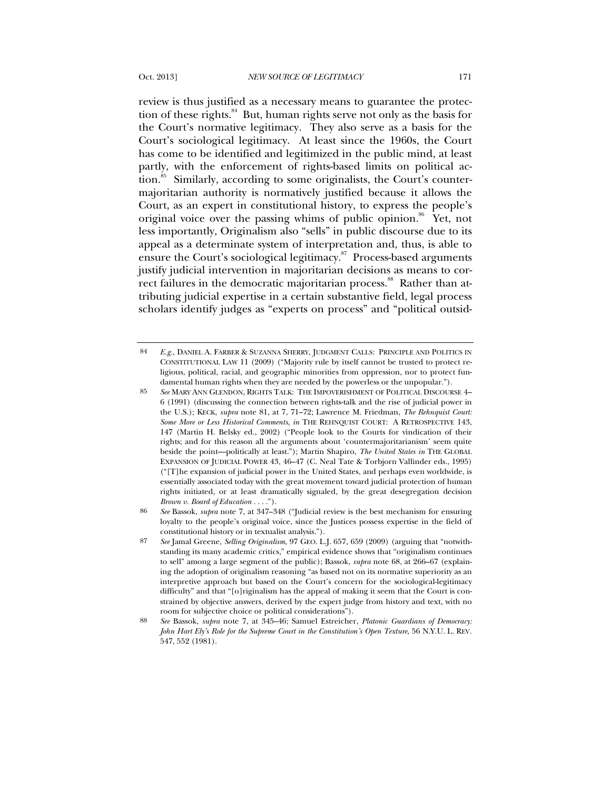review is thus justified as a necessary means to guarantee the protection of these rights.<sup>84</sup> But, human rights serve not only as the basis for the Court's normative legitimacy. They also serve as a basis for the Court's sociological legitimacy. At least since the 1960s, the Court has come to be identified and legitimized in the public mind, at least partly, with the enforcement of rights-based limits on political action.<sup>85</sup> Similarly, according to some originalists, the Court's countermajoritarian authority is normatively justified because it allows the Court, as an expert in constitutional history, to express the people's original voice over the passing whims of public opinion.<sup>86</sup> Yet, not less importantly, Originalism also "sells" in public discourse due to its appeal as a determinate system of interpretation and, thus, is able to ensure the Court's sociological legitimacy.<sup>87</sup> Process-based arguments justify judicial intervention in majoritarian decisions as means to correct failures in the democratic majoritarian process.<sup>88</sup> Rather than attributing judicial expertise in a certain substantive field, legal process scholars identify judges as "experts on process" and "political outsid-

<sup>84</sup> *E.g.*, DANIEL A. FARBER & SUZANNA SHERRY, JUDGMENT CALLS: PRINCIPLE AND POLITICS IN CONSTITUTIONAL LAW 11 (2009) ("Majority rule by itself cannot be trusted to protect religious, political, racial, and geographic minorities from oppression, nor to protect fundamental human rights when they are needed by the powerless or the unpopular.").

<sup>85</sup> *See* MARY ANN GLENDON, RIGHTS TALK: THE IMPOVERISHMENT OF POLITICAL DISCOURSE 4– 6 (1991) (discussing the connection between rights-talk and the rise of judicial power in the U.S.); KECK, *supra* note 81, at 7, 71–72; Lawrence M. Friedman, *The Rehnquist Court: Some More or Less Historical Comments*, *in* THE REHNQUIST COURT: A RETROSPECTIVE 143, 147 (Martin H. Belsky ed., 2002) ("People look to the Courts for vindication of their rights; and for this reason all the arguments about 'countermajoritarianism' seem quite beside the point—politically at least."); Martin Shapiro, *The United States in* THE GLOBAL EXPANSION OF JUDICIAL POWER 43, 46–47 (C. Neal Tate & Torbjorn Vallinder eds., 1995) ("[T]he expansion of judicial power in the United States, and perhaps even worldwide, is essentially associated today with the great movement toward judicial protection of human rights initiated, or at least dramatically signaled, by the great desegregation decision *Brown v. Board of Education* . . . .").

<sup>86</sup> *See* Bassok, *supra* note 7, at 347–348 ("Judicial review is the best mechanism for ensuring loyalty to the people's original voice, since the Justices possess expertise in the field of constitutional history or in textualist analysis.").

<sup>87</sup> *See* Jamal Greene, *Selling Originalism*, 97 GEO. L.J. 657, 659 (2009) (arguing that "notwithstanding its many academic critics," empirical evidence shows that "originalism continues to sell" among a large segment of the public); Bassok, *supra* note 68, at 266–67 (explaining the adoption of originalism reasoning "as based not on its normative superiority as an interpretive approach but based on the Court's concern for the sociological-legitimacy difficulty" and that "[o]riginalism has the appeal of making it seem that the Court is constrained by objective answers, derived by the expert judge from history and text, with no room for subjective choice or political considerations").

<sup>88</sup> *See* Bassok, *supra* note 7, at 345–46; Samuel Estreicher, *Platonic Guardians of Democracy: John Hart Ely's Role for the Supreme Court in the Constitution's Open Texture*, 56 N.Y.U. L. REV. 547, 552 (1981).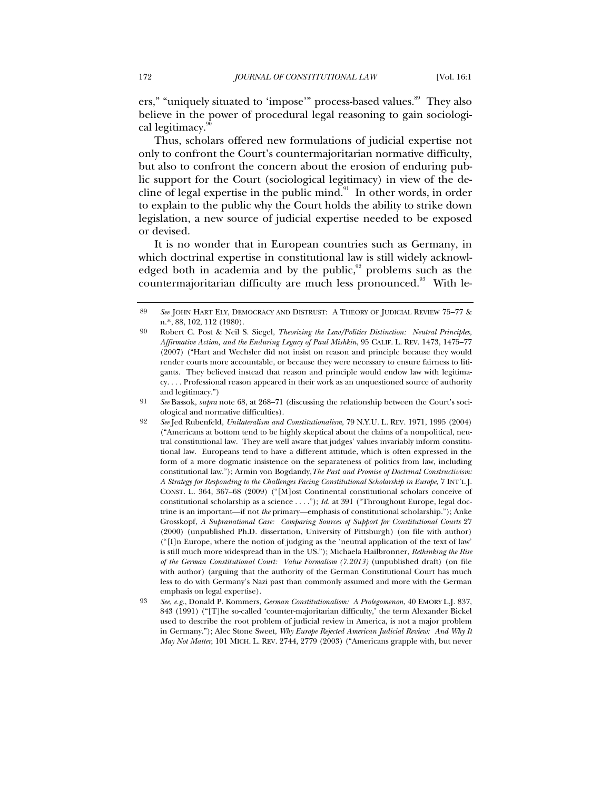ers," "uniquely situated to 'impose'" process-based values.<sup>89</sup> They also believe in the power of procedural legal reasoning to gain sociological legitimacy.<sup>91</sup>

Thus, scholars offered new formulations of judicial expertise not only to confront the Court's countermajoritarian normative difficulty, but also to confront the concern about the erosion of enduring public support for the Court (sociological legitimacy) in view of the decline of legal expertise in the public mind. $91$  In other words, in order to explain to the public why the Court holds the ability to strike down legislation, a new source of judicial expertise needed to be exposed or devised.

<span id="page-19-0"></span>It is no wonder that in European countries such as Germany, in which doctrinal expertise in constitutional law is still widely acknowledged both in academia and by the public, $92$  problems such as the countermajoritarian difficulty are much less pronounced.<sup>93</sup> With le-

<sup>89</sup> *See* JOHN HART ELY, DEMOCRACY AND DISTRUST: A THEORY OF JUDICIAL REVIEW 75–77 & n.\*, 88, 102, 112 (1980).

<sup>90</sup> Robert C. Post & Neil S. Siegel, *Theorizing the Law/Politics Distinction: Neutral Principles, Affirmative Action, and the Enduring Legacy of Paul Mishkin*, 95 CALIF. L. REV. 1473, 1475–77 (2007) ("Hart and Wechsler did not insist on reason and principle because they would render courts more accountable, or because they were necessary to ensure fairness to litigants. They believed instead that reason and principle would endow law with legitimacy. . . . Professional reason appeared in their work as an unquestioned source of authority and legitimacy.")

<sup>91</sup> *See* Bassok, *supra* note 68, at 268–71 (discussing the relationship between the Court's sociological and normative difficulties).

<sup>92</sup> *See* Jed Rubenfeld, *Unilateralism and Constitutionalism*, 79 N.Y.U. L. REV. 1971, 1995 (2004) ("Americans at bottom tend to be highly skeptical about the claims of a nonpolitical, neutral constitutional law. They are well aware that judges' values invariably inform constitutional law. Europeans tend to have a different attitude, which is often expressed in the form of a more dogmatic insistence on the separateness of politics from law, including constitutional law."); Armin von Bogdandy,*The Past and Promise of Doctrinal Constructivism: A Strategy for Responding to the Challenges Facing Constitutional Scholarship in Europe*, 7 INT'L J. CONST. L. 364, 367–68 (2009) ("[M]ost Continental constitutional scholars conceive of constitutional scholarship as a science . . . ."); *Id.* at 391 ("Throughout Europe, legal doctrine is an important—if not *the* primary—emphasis of constitutional scholarship."); Anke Grosskopf, *A Supranational Case: Comparing Sources of Support for Constitutional Courts* 27 (2000) (unpublished Ph.D. dissertation, University of Pittsburgh) (on file with author) ("[I]n Europe, where the notion of judging as the 'neutral application of the text of law' is still much more widespread than in the US."); Michaela Hailbronner, *Rethinking the Rise of the German Constitutional Court: Value Formalism (7.2013)* (unpublished draft) (on file with author) (arguing that the authority of the German Constitutional Court has much less to do with Germany's Nazi past than commonly assumed and more with the German emphasis on legal expertise).

<sup>93</sup> *See, e.g.*, Donald P. Kommers, *German Constitutionalism: A Prolegomenon*, 40 EMORY L.J. 837, 843 (1991) ("[T]he so-called 'counter-majoritarian difficulty,' the term Alexander Bickel used to describe the root problem of judicial review in America, is not a major problem in Germany."); Alec Stone Sweet, *Why Europe Rejected American Judicial Review: And Why It May Not Matter*, 101 MICH. L. REV. 2744, 2779 (2003) ("Americans grapple with, but never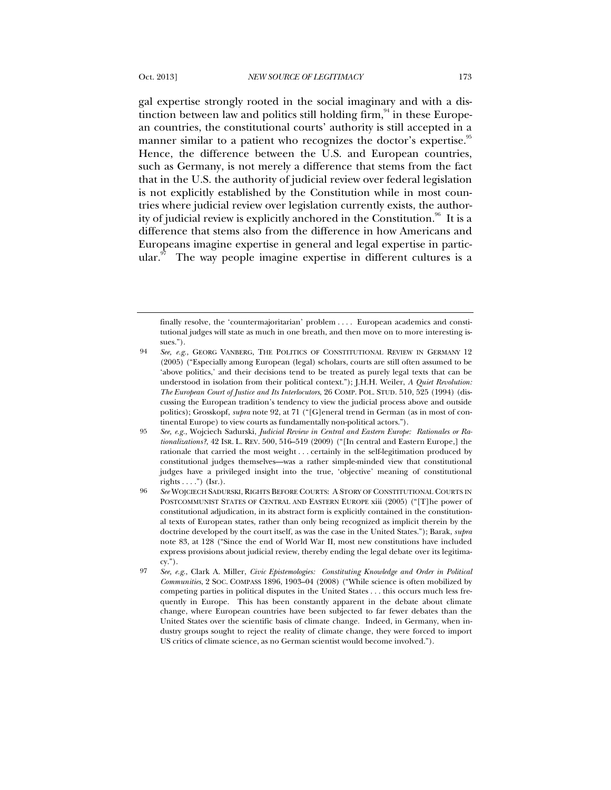gal expertise strongly rooted in the social imaginary and with a distinction between law and politics still holding firm,  $94$  in these European countries, the constitutional courts' authority is still accepted in a manner similar to a patient who recognizes the doctor's expertise.<sup>95</sup> Hence, the difference between the U.S. and European countries, such as Germany, is not merely a difference that stems from the fact that in the U.S. the authority of judicial review over federal legislation is not explicitly established by the Constitution while in most countries where judicial review over legislation currently exists, the authority of judicial review is explicitly anchored in the Constitution.<sup>96</sup> It is a difference that stems also from the difference in how Americans and Europeans imagine expertise in general and legal expertise in partic $ular.^{97}$  The way people imagine expertise in different cultures is a

finally resolve, the 'countermajoritarian' problem . . . . European academics and constitutional judges will state as much in one breath, and then move on to more interesting issues.").

<sup>94</sup> *See, e.g.*, GEORG VANBERG, THE POLITICS OF CONSTITUTIONAL REVIEW IN GERMANY 12 (2005) ("Especially among European (legal) scholars, courts are still often assumed to be 'above politics,' and their decisions tend to be treated as purely legal texts that can be understood in isolation from their political context."); J.H.H. Weiler, *A Quiet Revolution: The European Court of Justice and Its Interlocutors*, 26 COMP. POL. STUD. 510, 525 (1994) (discussing the European tradition's tendency to view the judicial process above and outside politics); Grosskopf, *supra* note [92,](#page-19-0) at 71 ("[G]eneral trend in German (as in most of continental Europe) to view courts as fundamentally non-political actors.").

<sup>95</sup> *See, e.g.*, Wojciech Sadurski, *Judicial Review in Central and Eastern Europe: Rationales or Rationalizations?*, 42 ISR. L. REV. 500, 516–519 (2009) ("[In central and Eastern Europe,] the rationale that carried the most weight . . . certainly in the self-legitimation produced by constitutional judges themselves—was a rather simple-minded view that constitutional judges have a privileged insight into the true, 'objective' meaning of constitutional rights  $\dots$ ") (Isr.).

<sup>96</sup> *See* WOJCIECH SADURSKI, RIGHTS BEFORE COURTS: A STORY OF CONSTITUTIONAL COURTS IN POSTCOMMUNIST STATES OF CENTRAL AND EASTERN EUROPE xiii (2005) ("[T]he power of constitutional adjudication, in its abstract form is explicitly contained in the constitutional texts of European states, rather than only being recognized as implicit therein by the doctrine developed by the court itself, as was the case in the United States."); Barak, *supra* note 83, at 128 ("Since the end of World War II, most new constitutions have included express provisions about judicial review, thereby ending the legal debate over its legitima $cy."$ ).

<sup>97</sup> *See, e.g.*, Clark A. Miller, *Civic Epistemologies: Constituting Knowledge and Order in Political Communities*, 2 SOC. COMPASS 1896, 1903–04 (2008) ("While science is often mobilized by competing parties in political disputes in the United States . . . this occurs much less frequently in Europe. This has been constantly apparent in the debate about climate change, where European countries have been subjected to far fewer debates than the United States over the scientific basis of climate change. Indeed, in Germany, when industry groups sought to reject the reality of climate change, they were forced to import US critics of climate science, as no German scientist would become involved.").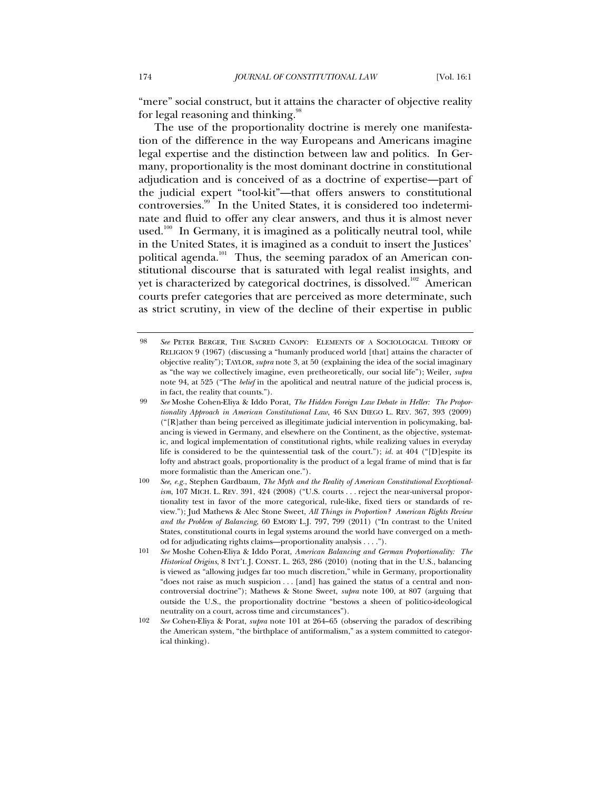"mere" social construct, but it attains the character of objective reality for legal reasoning and thinking. $\frac{98}{5}$ 

The use of the proportionality doctrine is merely one manifestation of the difference in the way Europeans and Americans imagine legal expertise and the distinction between law and politics. In Germany, proportionality is the most dominant doctrine in constitutional adjudication and is conceived of as a doctrine of expertise—part of the judicial expert "tool-kit"—that offers answers to constitutional controversies.99 In the United States, it is considered too indeterminate and fluid to offer any clear answers, and thus it is almost never used.<sup>100</sup> In Germany, it is imagined as a politically neutral tool, while in the United States, it is imagined as a conduit to insert the Justices' political agenda.<sup>101</sup> Thus, the seeming paradox of an American constitutional discourse that is saturated with legal realist insights, and yet is characterized by categorical doctrines, is dissolved.<sup>102</sup> American courts prefer categories that are perceived as more determinate, such as strict scrutiny, in view of the decline of their expertise in public

<sup>98</sup> *See* PETER BERGER, THE SACRED CANOPY: ELEMENTS OF A SOCIOLOGICAL THEORY OF RELIGION 9 (1967) (discussing a "humanly produced world [that] attains the character of objective reality"); TAYLOR, *supra* note 3, at 50 (explaining the idea of the social imaginary as "the way we collectively imagine, even pretheoretically, our social life"); Weiler, *supra* note 94, at 525 ("The *belief* in the apolitical and neutral nature of the judicial process is, in fact, the reality that counts.").

<sup>99</sup> *See* Moshe Cohen-Eliya & Iddo Porat, *The Hidden Foreign Law Debate in Heller: The Proportionality Approach in American Constitutional Law*, 46 SAN DIEGO L. REV. 367, 393 (2009) ("[R]ather than being perceived as illegitimate judicial intervention in policymaking, balancing is viewed in Germany, and elsewhere on the Continent, as the objective, systematic, and logical implementation of constitutional rights, while realizing values in everyday life is considered to be the quintessential task of the court."); *id.* at 404 ("[D]espite its lofty and abstract goals, proportionality is the product of a legal frame of mind that is far more formalistic than the American one.").

<sup>100</sup> *See, e.g.*, Stephen Gardbaum, *The Myth and the Reality of American Constitutional Exceptionalism*, 107 MICH. L. REV. 391, 424 (2008) ("U.S. courts . . . reject the near-universal proportionality test in favor of the more categorical, rule-like, fixed tiers or standards of review."); Jud Mathews & Alec Stone Sweet, *All Things in Proportion? American Rights Review and the Problem of Balancing*, 60 EMORY L.J. 797, 799 (2011) ("In contrast to the United States, constitutional courts in legal systems around the world have converged on a method for adjudicating rights claims—proportionality analysis . . . .").

<sup>101</sup> *See* Moshe Cohen-Eliya & Iddo Porat, *American Balancing and German Proportionality: The Historical Origins*, 8 INT'L J. CONST. L. 263, 286 (2010) (noting that in the U.S., balancing is viewed as "allowing judges far too much discretion," while in Germany, proportionality "does not raise as much suspicion . . . [and] has gained the status of a central and noncontroversial doctrine"); Mathews & Stone Sweet, *supra* note 100, at 807 (arguing that outside the U.S., the proportionality doctrine "bestows a sheen of politico-ideological neutrality on a court, across time and circumstances").

<sup>102</sup> *See* Cohen-Eliya & Porat, *supra* note 101 at 264–65 (observing the paradox of describing the American system, "the birthplace of antiformalism," as a system committed to categorical thinking).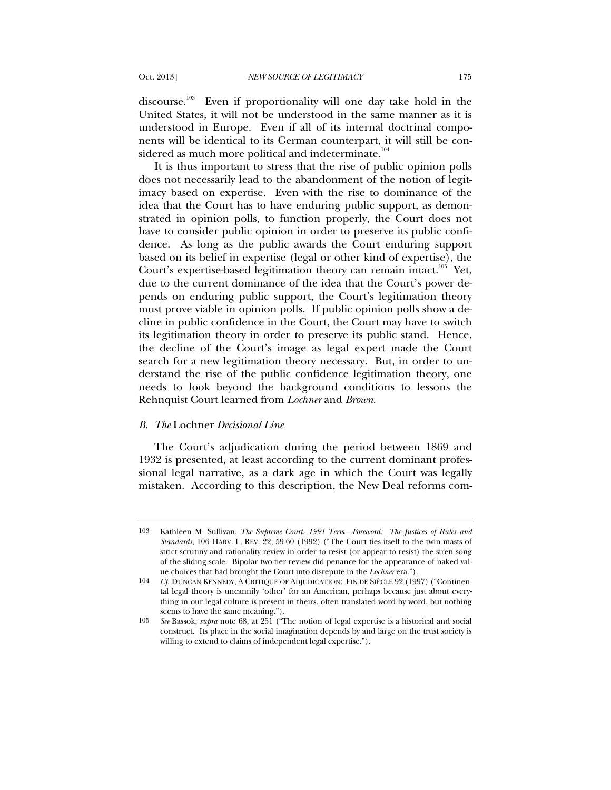discourse.<sup>103</sup> Even if proportionality will one day take hold in the United States, it will not be understood in the same manner as it is understood in Europe. Even if all of its internal doctrinal components will be identical to its German counterpart, it will still be considered as much more political and indeterminate.<sup>104</sup>

It is thus important to stress that the rise of public opinion polls does not necessarily lead to the abandonment of the notion of legitimacy based on expertise. Even with the rise to dominance of the idea that the Court has to have enduring public support, as demonstrated in opinion polls, to function properly, the Court does not have to consider public opinion in order to preserve its public confidence. As long as the public awards the Court enduring support based on its belief in expertise (legal or other kind of expertise), the Court's expertise-based legitimation theory can remain intact.<sup>105</sup> Yet, due to the current dominance of the idea that the Court's power depends on enduring public support, the Court's legitimation theory must prove viable in opinion polls. If public opinion polls show a decline in public confidence in the Court, the Court may have to switch its legitimation theory in order to preserve its public stand. Hence, the decline of the Court's image as legal expert made the Court search for a new legitimation theory necessary. But, in order to understand the rise of the public confidence legitimation theory, one needs to look beyond the background conditions to lessons the Rehnquist Court learned from *Lochner* and *Brown*.

## *B. The* Lochner *Decisional Line*

The Court's adjudication during the period between 1869 and 1932 is presented, at least according to the current dominant professional legal narrative, as a dark age in which the Court was legally mistaken. According to this description, the New Deal reforms com-

<sup>103</sup> Kathleen M. Sullivan, *The Supreme Court, 1991 Term—Foreword: The Justices of Rules and Standards*, 106 HARV. L. REV. 22, 59-60 (1992) ("The Court ties itself to the twin masts of strict scrutiny and rationality review in order to resist (or appear to resist) the siren song of the sliding scale. Bipolar two-tier review did penance for the appearance of naked value choices that had brought the Court into disrepute in the *Lochner* era.").

<sup>104</sup> *Cf.* DUNCAN KENNEDY, A CRITIQUE OF ADJUDICATION: FIN DE SIÈCLE 92 (1997) ("Continental legal theory is uncannily 'other' for an American, perhaps because just about everything in our legal culture is present in theirs, often translated word by word, but nothing seems to have the same meaning.").

<sup>105</sup> *See* Bassok, *supra* note 68, at 251 ("The notion of legal expertise is a historical and social construct. Its place in the social imagination depends by and large on the trust society is willing to extend to claims of independent legal expertise.").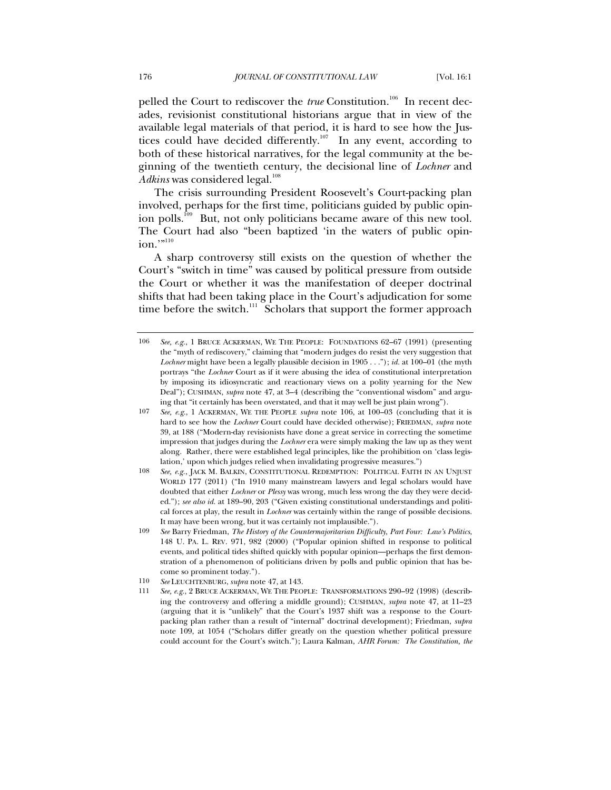pelled the Court to rediscover the *true* Constitution.<sup>106</sup> In recent decades, revisionist constitutional historians argue that in view of the available legal materials of that period, it is hard to see how the Justices could have decided differently.<sup>107</sup> In any event, according to both of these historical narratives, for the legal community at the beginning of the twentieth century, the decisional line of *Lochner* and *Adkins* was considered legal.<sup>108</sup>

The crisis surrounding President Roosevelt's Court-packing plan involved, perhaps for the first time, politicians guided by public opinion polls.<sup>109</sup> But, not only politicians became aware of this new tool. The Court had also "been baptized 'in the waters of public opinion.'"<sup>110</sup>

A sharp controversy still exists on the question of whether the Court's "switch in time" was caused by political pressure from outside the Court or whether it was the manifestation of deeper doctrinal shifts that had been taking place in the Court's adjudication for some time before the switch. $111$  Scholars that support the former approach

<sup>106</sup> *See, e.g.*, 1 BRUCE ACKERMAN, WE THE PEOPLE: FOUNDATIONS 62–67 (1991) (presenting the "myth of rediscovery," claiming that "modern judges do resist the very suggestion that *Lochner* might have been a legally plausible decision in 1905 . . ."); *id.* at 100–01 (the myth portrays "the *Lochner* Court as if it were abusing the idea of constitutional interpretation by imposing its idiosyncratic and reactionary views on a polity yearning for the New Deal"); CUSHMAN, *supra* note 47, at 3–4 (describing the "conventional wisdom" and arguing that "it certainly has been overstated, and that it may well be just plain wrong").

<sup>107</sup> *See, e.g.*, 1 ACKERMAN, WE THE PEOPLE *supra* note 106, at 100–03 (concluding that it is hard to see how the *Lochner* Court could have decided otherwise); FRIEDMAN, *supra* note 39, at 188 ("Modern-day revisionists have done a great service in correcting the sometime impression that judges during the *Lochner* era were simply making the law up as they went along. Rather, there were established legal principles, like the prohibition on 'class legislation,' upon which judges relied when invalidating progressive measures.")

<sup>108</sup> *See, e.g.*, JACK M. BALKIN, CONSTITUTIONAL REDEMPTION: POLITICAL FAITH IN AN UNJUST WORLD 177 (2011) ("In 1910 many mainstream lawyers and legal scholars would have doubted that either *Lochner* or *Plessy* was wrong, much less wrong the day they were decided."); *see also id.* at 189–90, 203 ("Given existing constitutional understandings and political forces at play, the result in *Lochner* was certainly within the range of possible decisions. It may have been wrong, but it was certainly not implausible.").

<sup>109</sup> *See* Barry Friedman, *The History of the Countermajoritarian Difficulty, Part Four: Law's Politics*, 148 U. PA. L. REV. 971, 982 (2000) ("Popular opinion shifted in response to political events, and political tides shifted quickly with popular opinion—perhaps the first demonstration of a phenomenon of politicians driven by polls and public opinion that has become so prominent today.").

<sup>110</sup> *See* LEUCHTENBURG, *supra* note 47, at 143.

<sup>111</sup> *See, e.g.*, 2 BRUCE ACKERMAN, WE THE PEOPLE: TRANSFORMATIONS 290–92 (1998) (describing the controversy and offering a middle ground); CUSHMAN, *supra* note 47, at 11–23 (arguing that it is "unlikely" that the Court's 1937 shift was a response to the Courtpacking plan rather than a result of "internal" doctrinal development); Friedman, *supra* note 109, at 1054 ("Scholars differ greatly on the question whether political pressure could account for the Court's switch."); Laura Kalman, *AHR Forum: The Constitution, the*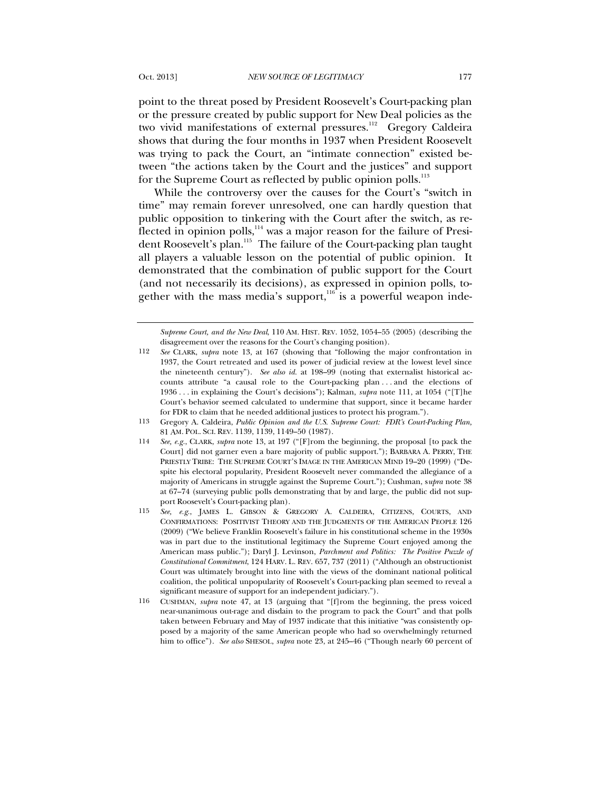point to the threat posed by President Roosevelt's Court-packing plan or the pressure created by public support for New Deal policies as the two vivid manifestations of external pressures.<sup>112</sup> Gregory Caldeira shows that during the four months in 1937 when President Roosevelt was trying to pack the Court, an "intimate connection" existed between "the actions taken by the Court and the justices" and support for the Supreme Court as reflected by public opinion polls.<sup>113</sup>

While the controversy over the causes for the Court's "switch in time" may remain forever unresolved, one can hardly question that public opposition to tinkering with the Court after the switch, as reflected in opinion polls, $114$  was a major reason for the failure of President Roosevelt's plan.<sup>115</sup> The failure of the Court-packing plan taught all players a valuable lesson on the potential of public opinion. It demonstrated that the combination of public support for the Court (and not necessarily its decisions), as expressed in opinion polls, together with the mass media's support, $116$  is a powerful weapon inde-

*Supreme Court, and the New Deal*, 110 AM. HIST. REV. 1052, 1054–55 (2005) (describing the disagreement over the reasons for the Court's changing position).

<sup>112</sup> *See* CLARK, *supra* note 13, at 167 (showing that "following the major confrontation in 1937, the Court retreated and used its power of judicial review at the lowest level since the nineteenth century"). *See also id.* at 198–99 (noting that externalist historical accounts attribute "a causal role to the Court-packing plan . . . and the elections of 1936 . . . in explaining the Court's decisions"); Kalman, *supra* note 111, at 1054 ("[T]he Court's behavior seemed calculated to undermine that support, since it became harder for FDR to claim that he needed additional justices to protect his program.").

<sup>113</sup> Gregory A. Caldeira, *Public Opinion and the U.S. Supreme Court: FDR's Court-Packing Plan,* 81 AM. POL. SCI. REV. 1139, 1139, 1149–50 (1987).

<sup>114</sup> *See, e.g.*, CLARK, *supra* note 13, at 197 ("[F]rom the beginning, the proposal [to pack the Court] did not garner even a bare majority of public support."); BARBARA A. PERRY, THE PRIESTLY TRIBE: THE SUPREME COURT'S IMAGE IN THE AMERICAN MIND 19–20 (1999) ("Despite his electoral popularity, President Roosevelt never commanded the allegiance of a majority of Americans in struggle against the Supreme Court."); Cushman, s*upra* note 38 at 67–74 (surveying public polls demonstrating that by and large, the public did not support Roosevelt's Court-packing plan).

<sup>115</sup> *See, e.g.*, JAMES L. GIBSON & GREGORY A. CALDEIRA, CITIZENS, COURTS, AND CONFIRMATIONS: POSITIVIST THEORY AND THE JUDGMENTS OF THE AMERICAN PEOPLE 126 (2009) ("We believe Franklin Roosevelt's failure in his constitutional scheme in the 1930s was in part due to the institutional legitimacy the Supreme Court enjoyed among the American mass public."); Daryl J. Levinson, *Parchment and Politics: The Positive Puzzle of Constitutional Commitment*, 124 HARV. L. REV. 657, 737 (2011) ("Although an obstructionist Court was ultimately brought into line with the views of the dominant national political coalition, the political unpopularity of Roosevelt's Court-packing plan seemed to reveal a significant measure of support for an independent judiciary.").

<sup>116</sup> CUSHMAN, *supra* note 47, at 13 (arguing that "[f]rom the beginning, the press voiced near-unanimous out-rage and disdain to the program to pack the Court" and that polls taken between February and May of 1937 indicate that this initiative "was consistently opposed by a majority of the same American people who had so overwhelmingly returned him to office"). *See also* SHESOL, *supra* note 23, at 245–46 ("Though nearly 60 percent of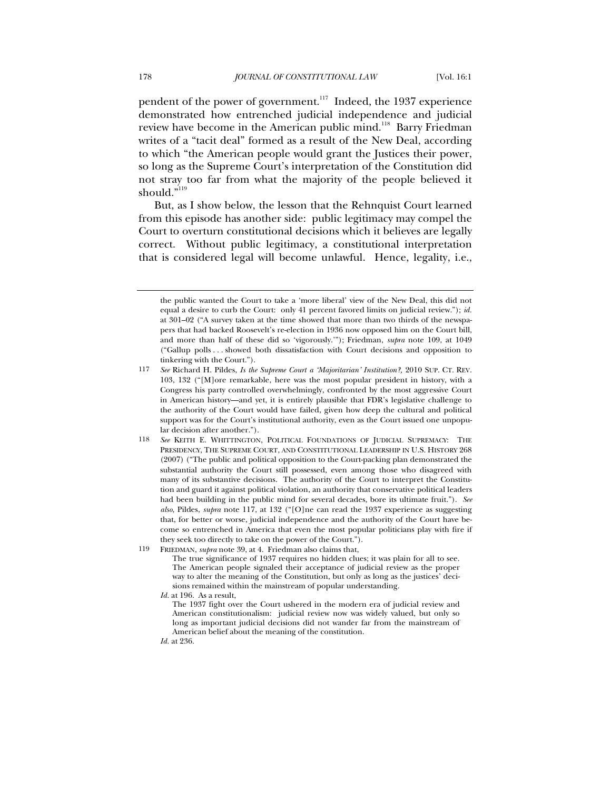pendent of the power of government.<sup>117</sup> Indeed, the 1937 experience demonstrated how entrenched judicial independence and judicial review have become in the American public mind.<sup>118</sup> Barry Friedman writes of a "tacit deal" formed as a result of the New Deal, according to which "the American people would grant the Justices their power, so long as the Supreme Court's interpretation of the Constitution did not stray too far from what the majority of the people believed it should." $119$ 

But, as I show below, the lesson that the Rehnquist Court learned from this episode has another side: public legitimacy may compel the Court to overturn constitutional decisions which it believes are legally correct. Without public legitimacy, a constitutional interpretation that is considered legal will become unlawful. Hence, legality, i.e.,

*Id.* at 236.

the public wanted the Court to take a 'more liberal' view of the New Deal, this did not equal a desire to curb the Court: only 41 percent favored limits on judicial review."); *id.* at 301–02 ("A survey taken at the time showed that more than two thirds of the newspapers that had backed Roosevelt's re-election in 1936 now opposed him on the Court bill, and more than half of these did so 'vigorously.'"); Friedman, *supra* note 109, at 1049 ("Gallup polls . . . showed both dissatisfaction with Court decisions and opposition to tinkering with the Court.").

<sup>117</sup> *See* Richard H. Pildes, *Is the Supreme Court a 'Majoritarian' Institution?,* 2010 SUP. CT. REV. 103, 132 ("[M]ore remarkable, here was the most popular president in history, with a Congress his party controlled overwhelmingly, confronted by the most aggressive Court in American history—and yet, it is entirely plausible that FDR's legislative challenge to the authority of the Court would have failed, given how deep the cultural and political support was for the Court's institutional authority, even as the Court issued one unpopular decision after another.").

<sup>118</sup> *See* KEITH E. WHITTINGTON, POLITICAL FOUNDATIONS OF JUDICIAL SUPREMACY: THE PRESIDENCY, THE SUPREME COURT, AND CONSTITUTIONAL LEADERSHIP IN U.S. HISTORY 268 (2007) ("The public and political opposition to the Court-packing plan demonstrated the substantial authority the Court still possessed, even among those who disagreed with many of its substantive decisions. The authority of the Court to interpret the Constitution and guard it against political violation, an authority that conservative political leaders had been building in the public mind for several decades, bore its ultimate fruit."). *See also*, Pildes, *supra* note 117, at 132 ("[O]ne can read the 1937 experience as suggesting that, for better or worse, judicial independence and the authority of the Court have become so entrenched in America that even the most popular politicians play with fire if they seek too directly to take on the power of the Court.").

<sup>119</sup> FRIEDMAN, *supra* note 39, at 4. Friedman also claims that,

The true significance of 1937 requires no hidden clues; it was plain for all to see. The American people signaled their acceptance of judicial review as the proper way to alter the meaning of the Constitution, but only as long as the justices' decisions remained within the mainstream of popular understanding.

*Id.* at 196. As a result,

The 1937 fight over the Court ushered in the modern era of judicial review and American constitutionalism: judicial review now was widely valued, but only so long as important judicial decisions did not wander far from the mainstream of American belief about the meaning of the constitution.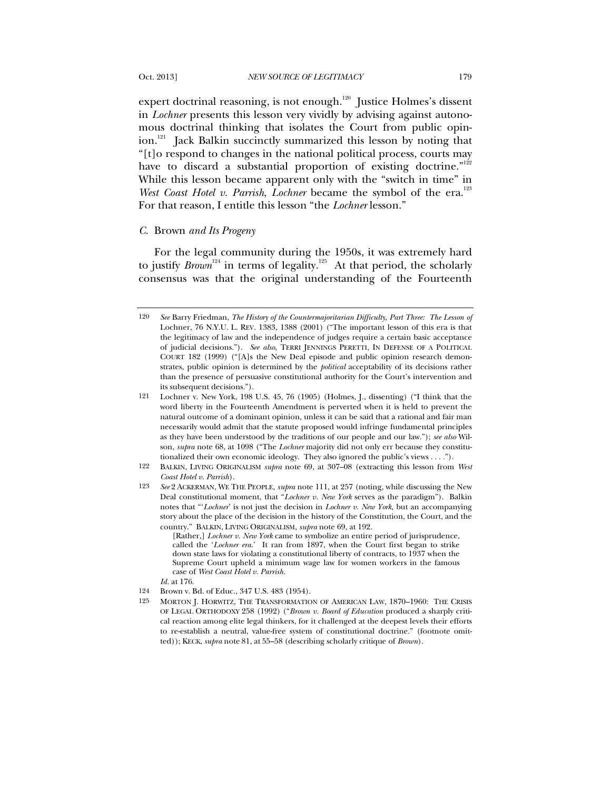expert doctrinal reasoning, is not enough.<sup>120</sup> Justice Holmes's dissent in *Lochner* presents this lesson very vividly by advising against autonomous doctrinal thinking that isolates the Court from public opinion.<sup>121</sup> Jack Balkin succinctly summarized this lesson by noting that "[t]o respond to changes in the national political process, courts may have to discard a substantial proportion of existing doctrine."<sup>122</sup> While this lesson became apparent only with the "switch in time" in *West Coast Hotel v. Parrish, Lochner* became the symbol of the era.<sup>123</sup> For that reason, I entitle this lesson "the *Lochner* lesson."

#### *C.* Brown *and Its Progeny*

For the legal community during the 1950s, it was extremely hard to justify *Brown*<sup>124</sup> in terms of legality.<sup>125</sup> At that period, the scholarly consensus was that the original understanding of the Fourteenth

<sup>120</sup> *See* Barry Friedman, *The History of the Countermajoritarian Difficulty, Part Three: The Lesson of*  Lochner, 76 N.Y.U. L. REV. 1383, 1388 (2001) ("The important lesson of this era is that the legitimacy of law and the independence of judges require a certain basic acceptance of judicial decisions."). *See also*, TERRI JENNINGS PERETTI, IN DEFENSE OF A POLITICAL COURT 182 (1999) ("[A]s the New Deal episode and public opinion research demonstrates, public opinion is determined by the *political* acceptability of its decisions rather than the presence of persuasive constitutional authority for the Court's intervention and its subsequent decisions.").

<sup>121</sup> Lochner v. New York, 198 U.S. 45, 76 (1905) (Holmes, J., dissenting) ("I think that the word liberty in the Fourteenth Amendment is perverted when it is held to prevent the natural outcome of a dominant opinion, unless it can be said that a rational and fair man necessarily would admit that the statute proposed would infringe fundamental principles as they have been understood by the traditions of our people and our law."); *see also* Wilson, *supra* note 68, at 1098 ("The *Lochner* majority did not only err because they constitutionalized their own economic ideology. They also ignored the public's views . . . .").

<sup>122</sup> BALKIN, LIVING ORIGINALISM *supra* note 69, at 307–08 (extracting this lesson from *West Coast Hotel v. Parrish*).

<sup>123</sup> *See* 2 ACKERMAN, WE THE PEOPLE, *supra* note 111, at 257 (noting, while discussing the New Deal constitutional moment, that "*Lochner v. New York* serves as the paradigm"). Balkin notes that "'*Lochner*' is not just the decision in *Lochner v. New York*, but an accompanying story about the place of the decision in the history of the Constitution, the Court, and the country." BALKIN, LIVING ORIGINALISM, *supra* note 69, at 192.

<sup>[</sup>Rather,] *Lochner v. New York* came to symbolize an entire period of jurisprudence, called the '*Lochner era*.' It ran from 1897, when the Court first began to strike down state laws for violating a constitutional liberty of contracts, to 1937 when the Supreme Court upheld a minimum wage law for women workers in the famous case of *West Coast Hotel v. Parrish.*

*Id.* at 176.

<sup>124</sup> Brown v. Bd. of Educ., 347 U.S. 483 (1954).

<sup>125</sup> MORTON J. HORWITZ, THE TRANSFORMATION OF AMERICAN LAW, 1870–1960: THE CRISIS OF LEGAL ORTHODOXY 258 (1992) ("*Brown v. Board of Education* produced a sharply critical reaction among elite legal thinkers, for it challenged at the deepest levels their efforts to re-establish a neutral, value-free system of constitutional doctrine." (footnote omitted)); KECK, *supra* note 81, at 55–58 (describing scholarly critique of *Brown*).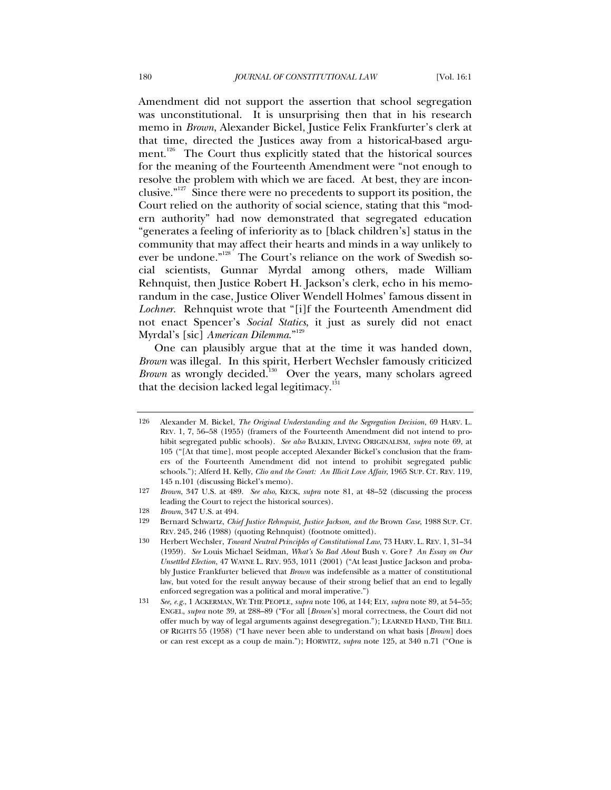Amendment did not support the assertion that school segregation was unconstitutional. It is unsurprising then that in his research memo in *Brown*, Alexander Bickel, Justice Felix Frankfurter's clerk at that time, directed the Justices away from a historical-based argument.<sup>126</sup> The Court thus explicitly stated that the historical sources for the meaning of the Fourteenth Amendment were "not enough to resolve the problem with which we are faced. At best, they are inconclusive."<sup>127</sup> Since there were no precedents to support its position, the Court relied on the authority of social science, stating that this "modern authority" had now demonstrated that segregated education "generates a feeling of inferiority as to [black children's] status in the community that may affect their hearts and minds in a way unlikely to ever be undone."<sup>128</sup> The Court's reliance on the work of Swedish social scientists, Gunnar Myrdal among others, made William Rehnquist, then Justice Robert H. Jackson's clerk, echo in his memorandum in the case, Justice Oliver Wendell Holmes' famous dissent in *Lochner.* Rehnquist wrote that "[i]f the Fourteenth Amendment did not enact Spencer's *Social Statics*, it just as surely did not enact Myrdal's [sic] *American Dilemma*."129

One can plausibly argue that at the time it was handed down, *Brown* was illegal. In this spirit, Herbert Wechsler famously criticized *Brown* as wrongly decided.<sup>130</sup> Over the years, many scholars agreed that the decision lacked legal legitimacy. $131$ 

<sup>126</sup> Alexander M. Bickel, *The Original Understanding and the Segregation Decision*, 69 HARV. L. REV. 1, 7, 56–58 (1955) (framers of the Fourteenth Amendment did not intend to prohibit segregated public schools). *See also* BALKIN, LIVING ORIGINALISM, *supra* note 69, at 105 ("[At that time], most people accepted Alexander Bickel's conclusion that the framers of the Fourteenth Amendment did not intend to prohibit segregated public schools."); Alferd H. Kelly, *Clio and the Court: An Illicit Love Affair*, 1965 SUP. CT. REV. 119, 145 n.101 (discussing Bickel's memo).

<sup>127</sup> *Brown*, 347 U.S. at 489. *See also*, KECK, *supra* note 81, at 48–52 (discussing the process leading the Court to reject the historical sources).

<sup>128</sup> *Brown*, 347 U.S. at 494.

<sup>129</sup> Bernard Schwartz, *Chief Justice Rehnquist, Justice Jackson, and the* Brown *Case*, 1988 SUP. CT. REV. 245, 246 (1988) (quoting Rehnquist) (footnote omitted).

<sup>130</sup> Herbert Wechsler, *Toward Neutral Principles of Constitutional Law*, 73 HARV. L. REV. 1, 31–34 (1959). *See* Louis Michael Seidman, *What's So Bad About* Bush v. Gore*? An Essay on Our Unsettled Election*, 47 WAYNE L. REV. 953, 1011 (2001) ("At least Justice Jackson and probably Justice Frankfurter believed that *Brown* was indefensible as a matter of constitutional law, but voted for the result anyway because of their strong belief that an end to legally enforced segregation was a political and moral imperative.")

<sup>131</sup> *See, e.g.*, 1 ACKERMAN, WE THE PEOPLE, *supra* note 106, at 144; ELY, *supra* note 89, at 54–55; ENGEL, *supra* note 39, at 288–89 ("For all [*Brown*'s] moral correctness, the Court did not offer much by way of legal arguments against desegregation."); LEARNED HAND, THE BILL OF RIGHTS 55 (1958) ("I have never been able to understand on what basis [*Brown*] does or can rest except as a coup de main."); HORWITZ, *supra* note 125, at 340 n.71 ("One is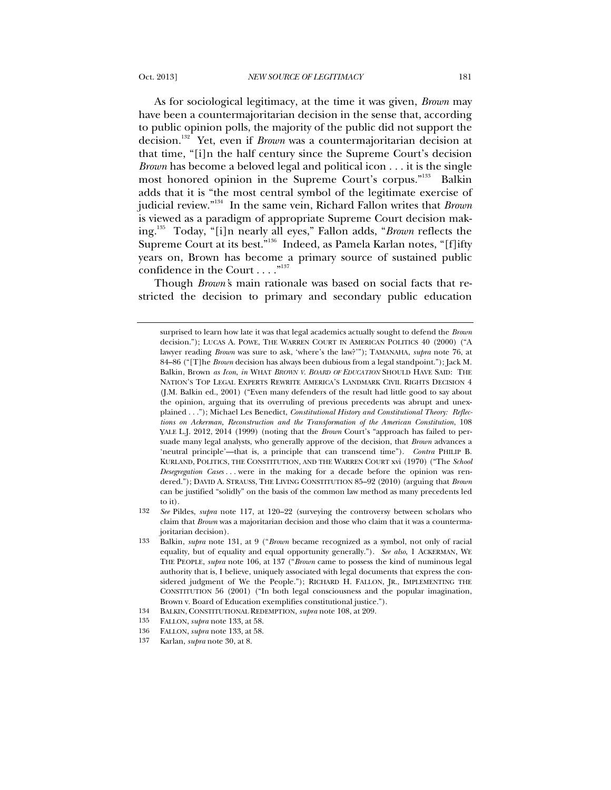As for sociological legitimacy, at the time it was given, *Brown* may have been a countermajoritarian decision in the sense that, according to public opinion polls, the majority of the public did not support the decision.132 Yet, even if *Brown* was a countermajoritarian decision at that time, "[i]n the half century since the Supreme Court's decision *Brown* has become a beloved legal and political icon . . . it is the single most honored opinion in the Supreme Court's corpus."<sup>133</sup> Balkin adds that it is "the most central symbol of the legitimate exercise of judicial review."134 In the same vein, Richard Fallon writes that *Brown* is viewed as a paradigm of appropriate Supreme Court decision making.135 Today, "[i]n nearly all eyes," Fallon adds, "*Brown* reflects the Supreme Court at its best."<sup>136</sup> Indeed, as Pamela Karlan notes, "[f]ifty years on, Brown has become a primary source of sustained public confidence in the Court  $\dots$ ."<sup>137</sup>

Though *Brown'*s main rationale was based on social facts that restricted the decision to primary and secondary public education

surprised to learn how late it was that legal academics actually sought to defend the *Brown* decision."); LUCAS A. POWE, THE WARREN COURT IN AMERICAN POLITICS 40 (2000) ("A lawyer reading *Brown* was sure to ask, 'where's the law?'"); TAMANAHA, *supra* note 76, at 84–86 ("[T]he *Brown* decision has always been dubious from a legal standpoint."); Jack M. Balkin, Brown *as Icon*, *in* WHAT *BROWN V. BOARD OF EDUCATION* SHOULD HAVE SAID: THE NATION'S TOP LEGAL EXPERTS REWRITE AMERICA'S LANDMARK CIVIL RIGHTS DECISION 4 (J.M. Balkin ed., 2001) ("Even many defenders of the result had little good to say about the opinion, arguing that its overruling of previous precedents was abrupt and unexplained . . ."); Michael Les Benedict, *Constitutional History and Constitutional Theory: Reflections on Ackerman, Reconstruction and the Transformation of the American Constitution*, 108 YALE L.J. 2012, 2014 (1999) (noting that the *Brown* Court's "approach has failed to persuade many legal analysts, who generally approve of the decision, that *Brown* advances a 'neutral principle'—that is, a principle that can transcend time"). *Contra* PHILIP B. KURLAND, POLITICS, THE CONSTITUTION, AND THE WARREN COURT xvi (1970) ("The *School Desegregation Cases* . . . were in the making for a decade before the opinion was rendered."); DAVID A. STRAUSS, THE LIVING CONSTITUTION 85–92 (2010) (arguing that *Brown* can be justified "solidly" on the basis of the common law method as many precedents led to it).

<sup>132</sup> *See* Pildes, *supra* note 117, at 120–22 (surveying the controversy between scholars who claim that *Brown* was a majoritarian decision and those who claim that it was a countermajoritarian decision).

<sup>133</sup> Balkin, *supra* note 131, at 9 ("*Brown* became recognized as a symbol, not only of racial equality, but of equality and equal opportunity generally."). *See also*, 1 ACKERMAN, WE THE PEOPLE, *supra* note 106, at 137 ("*Brown* came to possess the kind of numinous legal authority that is, I believe, uniquely associated with legal documents that express the considered judgment of We the People."); RICHARD H. FALLON, JR., IMPLEMENTING THE CONSTITUTION 56 (2001) ("In both legal consciousness and the popular imagination, Brown v. Board of Education exemplifies constitutional justice.").

<sup>134</sup> BALKIN, CONSTITUTIONAL REDEMPTION, *supra* note 108, at 209.

<sup>135</sup> FALLON, *supra* note 133, at 58.

<sup>136</sup> FALLON, *supra* note 133, at 58.

<sup>137</sup> Karlan, *supra* note 30, at 8.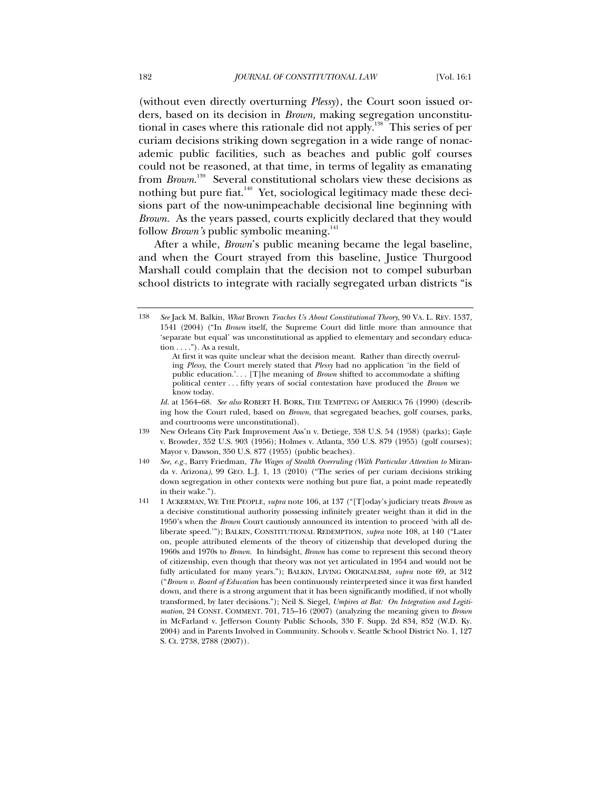(without even directly overturning *Plessy*), the Court soon issued orders, based on its decision in *Brown,* making segregation unconstitutional in cases where this rationale did not apply.<sup>138</sup> This series of per curiam decisions striking down segregation in a wide range of nonacademic public facilities, such as beaches and public golf courses could not be reasoned, at that time, in terms of legality as emanating from *Brown*. 139 Several constitutional scholars view these decisions as nothing but pure fiat.<sup>140</sup> Yet, sociological legitimacy made these decisions part of the now-unimpeachable decisional line beginning with *Brown*. As the years passed, courts explicitly declared that they would follow *Brown's* public symbolic meaning.<sup>141</sup>

After a while, *Brown*'s public meaning became the legal baseline, and when the Court strayed from this baseline, Justice Thurgood Marshall could complain that the decision not to compel suburban school districts to integrate with racially segregated urban districts "is

*Id.* at 1564–68. *See also* ROBERT H. BORK, THE TEMPTING OF AMERICA 76 (1990) (describing how the Court ruled, based on *Brown*, that segregated beaches, golf courses, parks, and courtrooms were unconstitutional).

- 139 New Orleans City Park Improvement Ass'n v. Detiege, 358 U.S. 54 (1958) (parks); Gayle v. Browder, 352 U.S. 903 (1956); Holmes v. Atlanta, 350 U.S. 879 (1955) (golf courses); Mayor v. Dawson, 350 U.S. 877 (1955) (public beaches).
- 140 *See, e.g.*, Barry Friedman, *The Wages of Stealth Overruling (With Particular Attention to* Miranda v. Arizona*)*, 99 GEO. L.J. 1, 13 (2010) ("The series of per curiam decisions striking down segregation in other contexts were nothing but pure fiat, a point made repeatedly in their wake.").
- 141 1 ACKERMAN, WE THE PEOPLE, *supra* note 106, at 137 ("[T]oday's judiciary treats *Brown* as a decisive constitutional authority possessing infinitely greater weight than it did in the 1950's when the *Brown* Court cautiously announced its intention to proceed 'with all deliberate speed.'"); BALKIN, CONSTITUTIONAL REDEMPTION, *supra* note 108, at 140 ("Later on, people attributed elements of the theory of citizenship that developed during the 1960s and 1970s to *Brown*. In hindsight, *Brown* has come to represent this second theory of citizenship, even though that theory was not yet articulated in 1954 and would not be fully articulated for many years."); BALKIN, LIVING ORIGINALISM, *supra* note 69, at 312 ("*Brown v. Board of Education* has been continuously reinterpreted since it was first handed down, and there is a strong argument that it has been significantly modified, if not wholly transformed, by later decisions."); Neil S. Siegel, *Umpires at Bat: On Integration and Legitimation*, 24 CONST. COMMENT. 701, 715–16 (2007) (analyzing the meaning given to *Brown* in McFarland v. Jefferson County Public Schools, 330 F. Supp. 2d 834, 852 (W.D. Ky. 2004) and in Parents Involved in Community. Schools v. Seattle School District No. 1, 127 S. Ct. 2738, 2788 (2007)).

<sup>138</sup> *See* Jack M. Balkin, *What* Brown *Teaches Us About Constitutional Theory*, 90 VA. L. REV. 1537, 1541 (2004) ("In *Brown* itself, the Supreme Court did little more than announce that 'separate but equal' was unconstitutional as applied to elementary and secondary education  $\dots$ "). As a result,

At first it was quite unclear what the decision meant. Rather than directly overruling *Plessy*, the Court merely stated that *Plessy* had no application 'in the field of public education.'. . . [T]he meaning of *Brown* shifted to accommodate a shifting political center . . . fifty years of social contestation have produced the *Brown* we know today.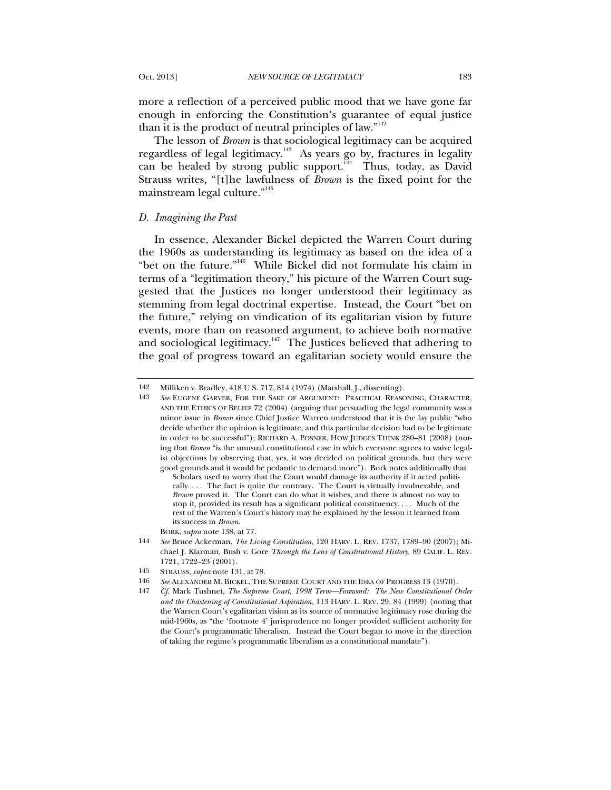more a reflection of a perceived public mood that we have gone far enough in enforcing the Constitution's guarantee of equal justice than it is the product of neutral principles of law."<sup>142</sup>

The lesson of *Brown* is that sociological legitimacy can be acquired regardless of legal legitimacy. $143$  As years go by, fractures in legality can be healed by strong public support. $144$  Thus, today, as David Strauss writes, "[t]he lawfulness of *Brown* is the fixed point for the mainstream legal culture."<sup>145</sup>

#### *D. Imagining the Past*

In essence, Alexander Bickel depicted the Warren Court during the 1960s as understanding its legitimacy as based on the idea of a "bet on the future."146 While Bickel did not formulate his claim in terms of a "legitimation theory," his picture of the Warren Court suggested that the Justices no longer understood their legitimacy as stemming from legal doctrinal expertise. Instead, the Court "bet on the future," relying on vindication of its egalitarian vision by future events, more than on reasoned argument, to achieve both normative and sociological legitimacy.<sup>147</sup> The Justices believed that adhering to the goal of progress toward an egalitarian society would ensure the

<sup>142</sup> Milliken v. Bradley, 418 U.S. 717, 814 (1974) (Marshall, J., dissenting).

<sup>143</sup> *See* EUGENE GARVER, FOR THE SAKE OF ARGUMENT: PRACTICAL REASONING, CHARACTER, AND THE ETHICS OF BELIEF 72 (2004) (arguing that persuading the legal community was a minor issue in *Brown* since Chief Justice Warren understood that it is the lay public "who decide whether the opinion is legitimate, and this particular decision had to be legitimate in order to be successful"); RICHARD A. POSNER, HOW JUDGES THINK 280–81 (2008) (noting that *Brown* "is the unusual constitutional case in which everyone agrees to waive legalist objections by observing that, yes, it was decided on political grounds, but they were good grounds and it would be pedantic to demand more"). Bork notes additionally that

Scholars used to worry that the Court would damage its authority if it acted politically. . . . The fact is quite the contrary. The Court is virtually invulnerable, and *Brown* proved it. The Court can do what it wishes, and there is almost no way to stop it, provided its result has a significant political constituency. . . . Much of the rest of the Warren's Court's history may be explained by the lesson it learned from its success in *Brown*.

BORK, *supra* note 138, at 77.

<sup>144</sup> *See* Bruce Ackerman, *The Living Constitution*, 120 HARV. L. REV. 1737, 1789–90 (2007); Michael J. Klarman, Bush v. Gore *Through the Lens of Constitutional History,* 89 CALIF. L. REV. 1721, 1722–23 (2001).

<sup>145</sup> STRAUSS, *supra* note 131, at 78.

<sup>146</sup> *See* ALEXANDER M. BICKEL, THE SUPREME COURT AND THE IDEA OF PROGRESS 13 (1970).

<sup>147</sup> *Cf*. Mark Tushnet, *The Supreme Court, 1998 Term—Foreword: The New Constitutional Order and the Chastening of Constitutional Aspiration,* 113 HARV. L. REV. 29, 84 (1999) (noting that the Warren Court's egalitarian vision as its source of normative legitimacy rose during the mid-1960s, as "the 'footnote 4' jurisprudence no longer provided sufficient authority for the Court's programmatic liberalism. Instead the Court began to move in the direction of taking the regime's programmatic liberalism as a constitutional mandate").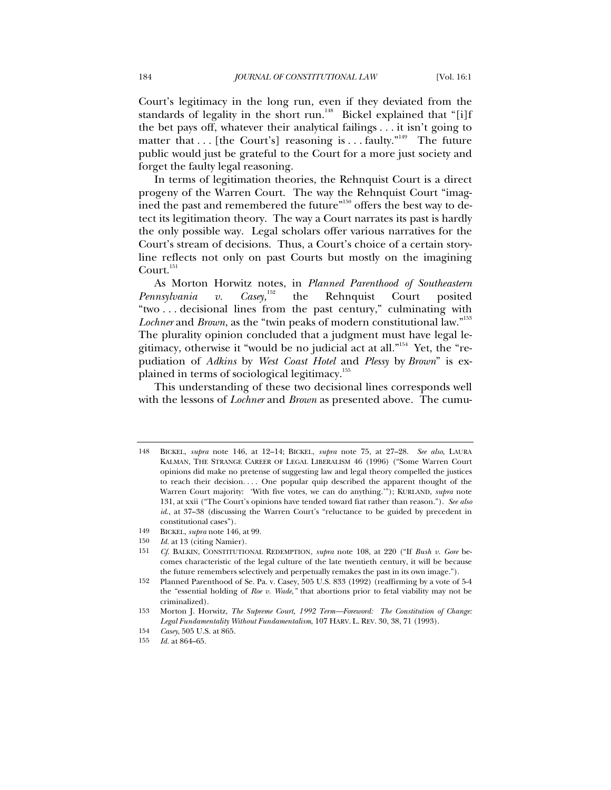Court's legitimacy in the long run, even if they deviated from the standards of legality in the short run.<sup>148</sup> Bickel explained that "[i]f the bet pays off, whatever their analytical failings . . . it isn't going to matter that  $\dots$  [the Court's] reasoning is  $\dots$  faulty.<sup>"149</sup> The future public would just be grateful to the Court for a more just society and forget the faulty legal reasoning.

In terms of legitimation theories, the Rehnquist Court is a direct progeny of the Warren Court. The way the Rehnquist Court "imagined the past and remembered the future"<sup>150</sup> offers the best way to detect its legitimation theory. The way a Court narrates its past is hardly the only possible way. Legal scholars offer various narratives for the Court's stream of decisions. Thus, a Court's choice of a certain storyline reflects not only on past Courts but mostly on the imagining Court.<sup>151</sup>

As Morton Horwitz notes, in *Planned Parenthood of Southeastern*  Pennsylvania v. Casey,<sup>152</sup> the Rehnquist Court posited "two . . . decisional lines from the past century," culminating with Lochner and *Brown*, as the "twin peaks of modern constitutional law."<sup>153</sup> The plurality opinion concluded that a judgment must have legal legitimacy, otherwise it "would be no judicial act at all."154 Yet, the "repudiation of *Adkins* by *West Coast Hotel* and *Plessy* by *Brown*" is explained in terms of sociological legitimacy.155

This understanding of these two decisional lines corresponds well with the lessons of *Lochner* and *Brown* as presented above. The cumu-

<sup>148</sup> BICKEL, *supra* note 146, at 12–14; BICKEL, *supra* note 75, at 27–28. *See also*, LAURA KALMAN, THE STRANGE CAREER OF LEGAL LIBERALISM 46 (1996) ("Some Warren Court opinions did make no pretense of suggesting law and legal theory compelled the justices to reach their decision. . . . One popular quip described the apparent thought of the Warren Court majority: 'With five votes, we can do anything.'"); KURLAND, *supra* note 131, at xxii ("The Court's opinions have tended toward fiat rather than reason."). *See also id.*, at 37-38 (discussing the Warren Court's "reluctance to be guided by precedent in constitutional cases").

<sup>149</sup> BICKEL, *supra* note 146, at 99.

<sup>150</sup> *Id.* at 13 (citing Namier).

<sup>151</sup> *Cf.* BALKIN, CONSTITUTIONAL REDEMPTION, *supra* note 108, at 220 ("If *Bush v. Gore* becomes characteristic of the legal culture of the late twentieth century, it will be because the future remembers selectively and perpetually remakes the past in its own image.").

<sup>152</sup> Planned Parenthood of Se. Pa. v. Casey, 505 U.S. 833 (1992) (reaffirming by a vote of 5-4 the "essential holding of *Roe v. Wade*,*"* that abortions prior to fetal viability may not be criminalized).

<sup>153</sup> Morton J. Horwitz, *The Supreme Court, 1992 Term—Foreword: The Constitution of Change: Legal Fundamentality Without Fundamentalism*, 107 HARV. L. REV. 30, 38, 71 (1993).

<sup>154</sup> *Casey*, 505 U.S. at 865.

<sup>155</sup> *Id.* at 864–65.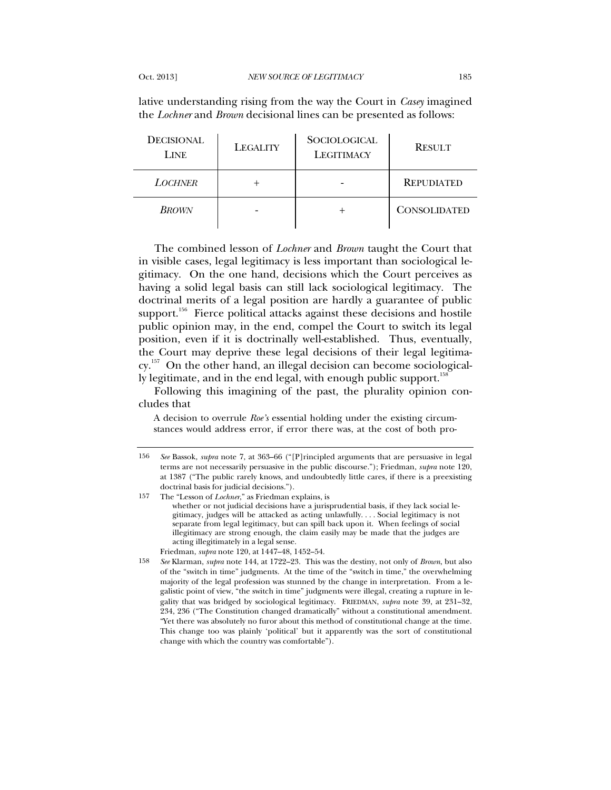lative understanding rising from the way the Court in *Casey* imagined the *Lochner* and *Brown* decisional lines can be presented as follows:

| <b>DECISIONAL</b><br><b>LINE</b> | <b>LEGALITY</b> | <b>SOCIOLOGICAL</b><br><b>LEGITIMACY</b> | <b>RESULT</b>       |
|----------------------------------|-----------------|------------------------------------------|---------------------|
| <b>LOCHNER</b>                   |                 |                                          | <b>REPUDIATED</b>   |
| <b>BROWN</b>                     |                 |                                          | <b>CONSOLIDATED</b> |

The combined lesson of *Lochner* and *Brown* taught the Court that in visible cases, legal legitimacy is less important than sociological legitimacy. On the one hand, decisions which the Court perceives as having a solid legal basis can still lack sociological legitimacy. The doctrinal merits of a legal position are hardly a guarantee of public support.<sup>156</sup> Fierce political attacks against these decisions and hostile public opinion may, in the end, compel the Court to switch its legal position, even if it is doctrinally well-established. Thus, eventually, the Court may deprive these legal decisions of their legal legitimacy.<sup>157</sup> On the other hand, an illegal decision can become sociologically legitimate, and in the end legal, with enough public support.<sup>158</sup>

Following this imagining of the past, the plurality opinion concludes that

A decision to overrule *Roe's* essential holding under the existing circumstances would address error, if error there was, at the cost of both pro-

157 The "Lesson of *Lochner*," as Friedman explains, is whether or not judicial decisions have a jurisprudential basis, if they lack social legitimacy, judges will be attacked as acting unlawfully. . . . Social legitimacy is not separate from legal legitimacy, but can spill back upon it. When feelings of social illegitimacy are strong enough, the claim easily may be made that the judges are acting illegitimately in a legal sense.

Friedman, *supra* note 120, at 1447–48, 1452–54.

<sup>156</sup> *See* Bassok, *supra* note 7, at 363–66 ("[P]rincipled arguments that are persuasive in legal terms are not necessarily persuasive in the public discourse."); Friedman, *supra* note 120, at 1387 ("The public rarely knows, and undoubtedly little cares, if there is a preexisting doctrinal basis for judicial decisions.").

<sup>158</sup> *See* Klarman, *supra* note 144, at 1722–23. This was the destiny, not only of *Brown*, but also of the "switch in time" judgments. At the time of the "switch in time," the overwhelming majority of the legal profession was stunned by the change in interpretation. From a legalistic point of view, "the switch in time" judgments were illegal, creating a rupture in legality that was bridged by sociological legitimacy. FRIEDMAN, *supra* note 39, at 231–32, 234, 236 ("The Constitution changed dramatically" without a constitutional amendment. "Yet there was absolutely no furor about this method of constitutional change at the time. This change too was plainly 'political' but it apparently was the sort of constitutional change with which the country was comfortable").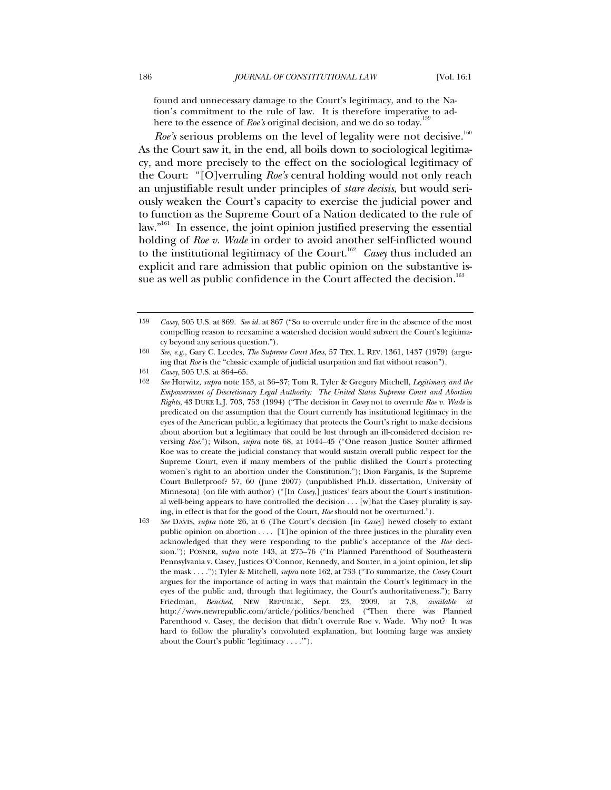found and unnecessary damage to the Court's legitimacy, and to the Nation's commitment to the rule of law. It is therefore imperative to adhere to the essence of *Roe's* original decision, and we do so today.<sup>1</sup>

*Roe's* serious problems on the level of legality were not decisive.<sup>160</sup> As the Court saw it, in the end, all boils down to sociological legitimacy, and more precisely to the effect on the sociological legitimacy of the Court: "[O]verruling *Roe's* central holding would not only reach an unjustifiable result under principles of *stare decisis*, but would seriously weaken the Court's capacity to exercise the judicial power and to function as the Supreme Court of a Nation dedicated to the rule of law."161 In essence, the joint opinion justified preserving the essential holding of *Roe v. Wade* in order to avoid another self-inflicted wound to the institutional legitimacy of the Court.<sup>162</sup> Casey thus included an explicit and rare admission that public opinion on the substantive issue as well as public confidence in the Court affected the decision.<sup>163</sup>

161 *Casey*, 505 U.S. at 864–65.

<sup>159</sup> *Casey*, 505 U.S. at 869. *See id.* at 867 ("So to overrule under fire in the absence of the most compelling reason to reexamine a watershed decision would subvert the Court's legitimacy beyond any serious question.").

<sup>160</sup> *See, e.g.*, Gary C. Leedes, *The Supreme Court Mess*, 57 TEX. L. REV. 1361, 1437 (1979) (arguing that *Roe* is the "classic example of judicial usurpation and fiat without reason").

<sup>162</sup> *See* Horwitz, *supra* note 153, at 36–37; Tom R. Tyler & Gregory Mitchell, *Legitimacy and the Empowerment of Discretionary Legal Authority: The United States Supreme Court and Abortion Rights*, 43 DUKE L.J. 703, 753 (1994) ("The decision in *Casey* not to overrule *Roe v. Wade* is predicated on the assumption that the Court currently has institutional legitimacy in the eyes of the American public, a legitimacy that protects the Court's right to make decisions about abortion but a legitimacy that could be lost through an ill-considered decision reversing *Roe*."); Wilson, *supra* note 68, at 1044–45 ("One reason Justice Souter affirmed Roe was to create the judicial constancy that would sustain overall public respect for the Supreme Court, even if many members of the public disliked the Court's protecting women's right to an abortion under the Constitution."); Dion Farganis, Is the Supreme Court Bulletproof? 57, 60 (June 2007) (unpublished Ph.D. dissertation, University of Minnesota) (on file with author) ("[In *Casey*,] justices' fears about the Court's institutional well-being appears to have controlled the decision . . . [w]hat the Casey plurality is saying, in effect is that for the good of the Court, *Roe* should not be overturned.").

<sup>163</sup> *See* DAVIS, *supra* note 26, at 6 (The Court's decision [in *Casey*] hewed closely to extant public opinion on abortion . . . . [T]he opinion of the three justices in the plurality even acknowledged that they were responding to the public's acceptance of the *Roe* decision."); POSNER, *supra* note 143, at 275–76 ("In Planned Parenthood of Southeastern Pennsylvania v. Casey, Justices O'Connor, Kennedy, and Souter, in a joint opinion, let slip the mask . . . ."); Tyler & Mitchell, *supra* note 162, at 733 ("To summarize, the *Casey* Court argues for the importance of acting in ways that maintain the Court's legitimacy in the eyes of the public and, through that legitimacy, the Court's authoritativeness."); Barry Friedman, *Benched*, NEW REPUBLIC, Sept. 23, 2009, at 7,8, *available at* http://www.newrepublic.com/article/politics/benched ("Then there was Planned Parenthood v. Casey, the decision that didn't overrule Roe v. Wade. Why not? It was hard to follow the plurality's convoluted explanation, but looming large was anxiety about the Court's public 'legitimacy . . . .'").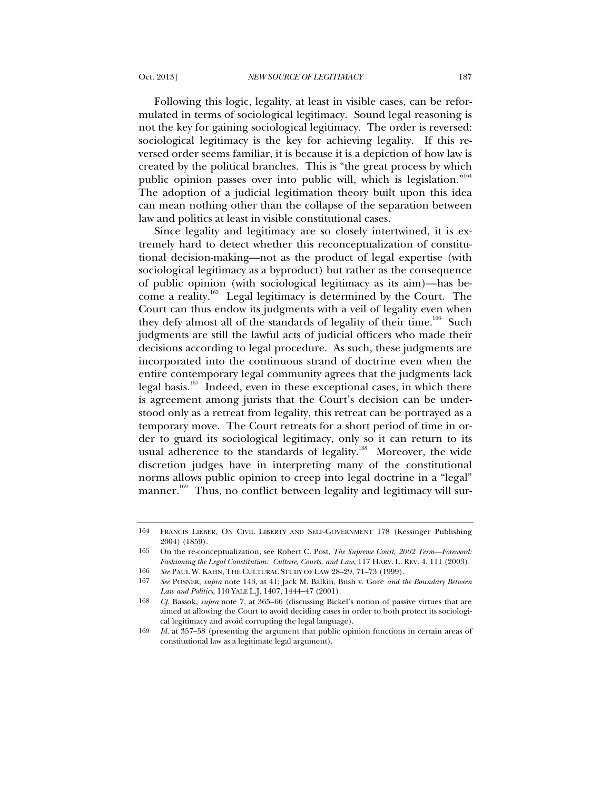Following this logic, legality, at least in visible cases, can be reformulated in terms of sociological legitimacy. Sound legal reasoning is not the key for gaining sociological legitimacy. The order is reversed: sociological legitimacy is the key for achieving legality. If this reversed order seems familiar, it is because it is a depiction of how law is created by the political branches. This is "the great process by which public opinion passes over into public will, which is legislation."<sup>164</sup> The adoption of a judicial legitimation theory built upon this idea can mean nothing other than the collapse of the separation between law and politics at least in visible constitutional cases.

Since legality and legitimacy are so closely intertwined, it is extremely hard to detect whether this reconceptualization of constitutional decision-making—not as the product of legal expertise (with sociological legitimacy as a byproduct) but rather as the consequence of public opinion (with sociological legitimacy as its aim)—has become a reality.165 Legal legitimacy is determined by the Court. The Court can thus endow its judgments with a veil of legality even when they defy almost all of the standards of legality of their time.<sup>166</sup> Such judgments are still the lawful acts of judicial officers who made their decisions according to legal procedure. As such, these judgments are incorporated into the continuous strand of doctrine even when the entire contemporary legal community agrees that the judgments lack legal basis.<sup>167</sup> Indeed, even in these exceptional cases, in which there is agreement among jurists that the Court's decision can be understood only as a retreat from legality, this retreat can be portrayed as a temporary move. The Court retreats for a short period of time in order to guard its sociological legitimacy, only so it can return to its usual adherence to the standards of legality.<sup>168</sup> Moreover, the wide discretion judges have in interpreting many of the constitutional norms allows public opinion to creep into legal doctrine in a "legal" manner. 169 Thus, no conflict between legality and legitimacy will sur-

<sup>164</sup> FRANCIS LIEBER, ON CIVIL LIBERTY AND SELF-GOVERNMENT 178 (Kessinger Publishing 2004) (1859).

<sup>165</sup> On the re-conceptualization, see Robert C. Post, *The Supreme Court, 2002 Term—Foreword: Fashioning the Legal Constitution: Culture, Courts, and Law*, 117 HARV. L. REV. 4, 111 (2003). 166 *See* PAUL W. KAHN, THE CULTURAL STUDY OF LAW 28–29, 71–73 (1999).

<sup>167</sup> *See* POSNER, *supra* note 143, at 41; Jack M. Balkin, Bush v. Gore *and the Boundary Between Law and Politics*, 110 YALE L.J. 1407, 1444–47 (2001).

<sup>168</sup> *Cf.* Bassok, *supra* note 7, at 365–66 (discussing Bickel's notion of passive virtues that are aimed at allowing the Court to avoid deciding cases in order to both protect its sociological legitimacy and avoid corrupting the legal language).

<sup>169</sup> *Id.* at 357–58 (presenting the argument that public opinion functions in certain areas of constitutional law as a legitimate legal argument).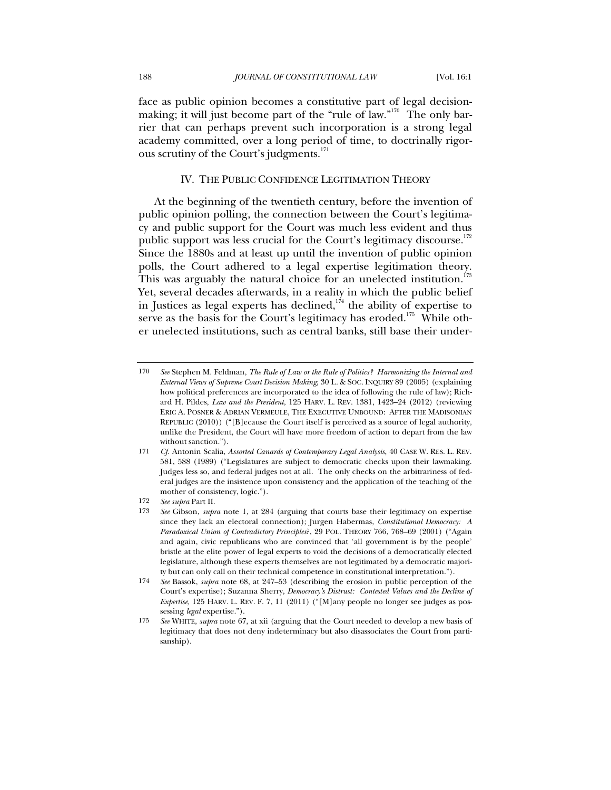face as public opinion becomes a constitutive part of legal decisionmaking; it will just become part of the "rule of law."<sup>170</sup> The only barrier that can perhaps prevent such incorporation is a strong legal academy committed, over a long period of time, to doctrinally rigorous scrutiny of the Court's judgments.<sup>171</sup>

#### IV. THE PUBLIC CONFIDENCE LEGITIMATION THEORY

At the beginning of the twentieth century, before the invention of public opinion polling, the connection between the Court's legitimacy and public support for the Court was much less evident and thus public support was less crucial for the Court's legitimacy discourse. $172$ Since the 1880s and at least up until the invention of public opinion polls, the Court adhered to a legal expertise legitimation theory. This was arguably the natural choice for an unelected institution.<sup>173</sup> Yet, several decades afterwards, in a reality in which the public belief in Justices as legal experts has declined, $1/4$  the ability of expertise to serve as the basis for the Court's legitimacy has eroded.<sup>175</sup> While other unelected institutions, such as central banks, still base their under-

<sup>170</sup> *See* Stephen M. Feldman, *The Rule of Law or the Rule of Politics? Harmonizing the Internal and External Views of Supreme Court Decision Making*, 30 L. & SOC. INQUIRY 89 (2005) (explaining how political preferences are incorporated to the idea of following the rule of law); Richard H. Pildes, *Law and the President*, 125 HARV. L. REV. 1381, 1423–24 (2012) (reviewing ERIC A. POSNER & ADRIAN VERMEULE, THE EXECUTIVE UNBOUND: AFTER THE MADISONIAN REPUBLIC (2010)) ("[B]ecause the Court itself is perceived as a source of legal authority, unlike the President, the Court will have more freedom of action to depart from the law without sanction.").

<sup>171</sup> *Cf.* Antonin Scalia, *Assorted Canards of Contemporary Legal Analysis*, 40 CASE W. RES. L. REV. 581, 588 (1989) ("Legislatures are subject to democratic checks upon their lawmaking. Judges less so, and federal judges not at all. The only checks on the arbitrariness of federal judges are the insistence upon consistency and the application of the teaching of the mother of consistency, logic.").

<sup>172</sup> *See supra* Part II.

<sup>173</sup> *See* Gibson, *supra* note 1, at 284 (arguing that courts base their legitimacy on expertise since they lack an electoral connection); Jurgen Habermas, *Constitutional Democracy: A Paradoxical Union of Contradictory Principles*?, 29 POL. THEORY 766, 768–69 (2001) ("Again and again, civic republicans who are convinced that 'all government is by the people' bristle at the elite power of legal experts to void the decisions of a democratically elected legislature, although these experts themselves are not legitimated by a democratic majority but can only call on their technical competence in constitutional interpretation.").

<sup>174</sup> *See* Bassok, *supra* note 68, at 247–53 (describing the erosion in public perception of the Court's expertise); Suzanna Sherry, *Democracy's Distrust: Contested Values and the Decline of Expertise,* 125 HARV. L. REV. F. 7, 11 (2011) ("[M]any people no longer see judges as possessing *legal* expertise.").

<sup>175</sup> *See* WHITE, *supra* note 67, at xii (arguing that the Court needed to develop a new basis of legitimacy that does not deny indeterminacy but also disassociates the Court from partisanship).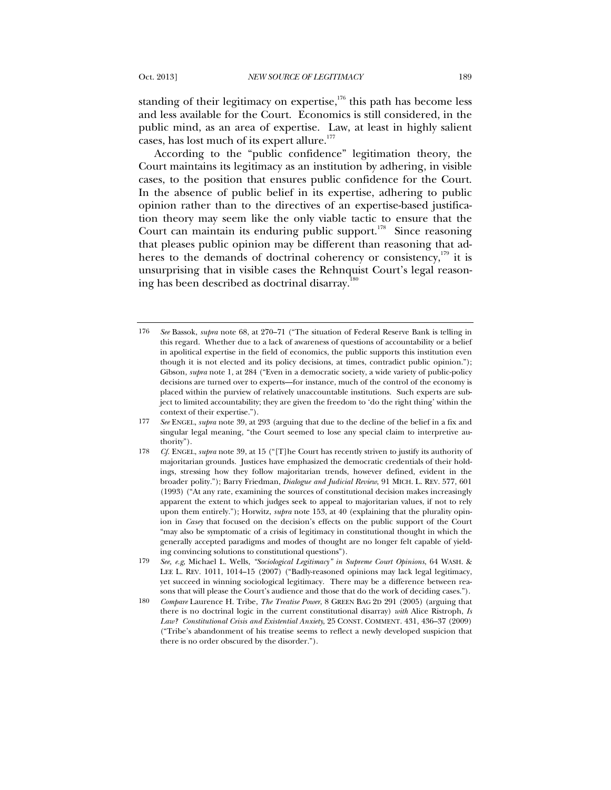standing of their legitimacy on expertise,<sup>176</sup> this path has become less and less available for the Court. Economics is still considered, in the public mind, as an area of expertise. Law, at least in highly salient cases, has lost much of its expert allure.<sup>177</sup>

According to the "public confidence" legitimation theory, the Court maintains its legitimacy as an institution by adhering, in visible cases, to the position that ensures public confidence for the Court. In the absence of public belief in its expertise, adhering to public opinion rather than to the directives of an expertise-based justification theory may seem like the only viable tactic to ensure that the Court can maintain its enduring public support.<sup>178</sup> Since reasoning that pleases public opinion may be different than reasoning that adheres to the demands of doctrinal coherency or consistency, $179$  it is unsurprising that in visible cases the Rehnquist Court's legal reasoning has been described as doctrinal disarray. $180$ 

<sup>176</sup> *See* Bassok, *supra* note 68, at 270–71 ("The situation of Federal Reserve Bank is telling in this regard. Whether due to a lack of awareness of questions of accountability or a belief in apolitical expertise in the field of economics, the public supports this institution even though it is not elected and its policy decisions, at times, contradict public opinion."); Gibson, *supra* note 1, at 284 ("Even in a democratic society, a wide variety of public-policy decisions are turned over to experts—for instance, much of the control of the economy is placed within the purview of relatively unaccountable institutions. Such experts are subject to limited accountability; they are given the freedom to 'do the right thing' within the context of their expertise.").

<sup>177</sup> *See* ENGEL, *supra* note 39, at 293 (arguing that due to the decline of the belief in a fix and singular legal meaning, "the Court seemed to lose any special claim to interpretive authority").

<sup>178</sup> *Cf.* ENGEL, *supra* note 39, at 15 ("[T]he Court has recently striven to justify its authority of majoritarian grounds. Justices have emphasized the democratic credentials of their holdings, stressing how they follow majoritarian trends, however defined, evident in the broader polity."); Barry Friedman, *Dialogue and Judicial Review*, 91 MICH. L. REV. 577, 601 (1993) ("At any rate, examining the sources of constitutional decision makes increasingly apparent the extent to which judges seek to appeal to majoritarian values, if not to rely upon them entirely."); Horwitz, *supra* note 153, at 40 (explaining that the plurality opinion in *Casey* that focused on the decision's effects on the public support of the Court "may also be symptomatic of a crisis of legitimacy in constitutional thought in which the generally accepted paradigms and modes of thought are no longer felt capable of yielding convincing solutions to constitutional questions").

<sup>179</sup> *See, e.g*, Michael L. Wells, *"Sociological Legitimacy" in Supreme Court Opinions*, 64 WASH. & LEE L. REV. 1011, 1014–15 (2007) ("Badly-reasoned opinions may lack legal legitimacy, yet succeed in winning sociological legitimacy. There may be a difference between reasons that will please the Court's audience and those that do the work of deciding cases.").

<sup>180</sup> *Compare* Laurence H. Tribe, *The Treatise Power*, 8 GREEN BAG 2D 291 (2005) (arguing that there is no doctrinal logic in the current constitutional disarray) *with* Alice Ristroph, *Is Law? Constitutional Crisis and Existential Anxiety*, 25 CONST. COMMENT. 431, 436–37 (2009) ("Tribe's abandonment of his treatise seems to reflect a newly developed suspicion that there is no order obscured by the disorder.").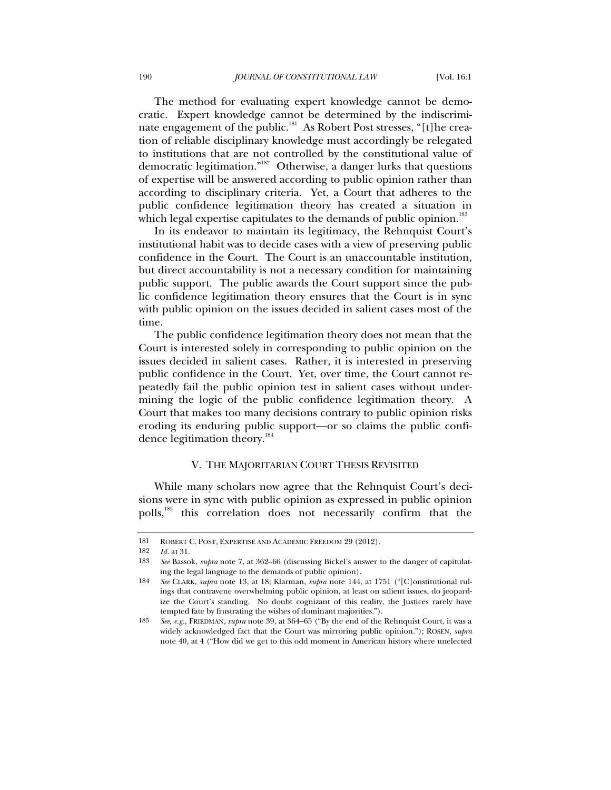The method for evaluating expert knowledge cannot be democratic. Expert knowledge cannot be determined by the indiscriminate engagement of the public.<sup>181</sup> As Robert Post stresses, "[t]he creation of reliable disciplinary knowledge must accordingly be relegated to institutions that are not controlled by the constitutional value of democratic legitimation."182 Otherwise, a danger lurks that questions of expertise will be answered according to public opinion rather than according to disciplinary criteria. Yet, a Court that adheres to the public confidence legitimation theory has created a situation in which legal expertise capitulates to the demands of public opinion.<sup>183</sup>

In its endeavor to maintain its legitimacy, the Rehnquist Court's institutional habit was to decide cases with a view of preserving public confidence in the Court. The Court is an unaccountable institution, but direct accountability is not a necessary condition for maintaining public support. The public awards the Court support since the public confidence legitimation theory ensures that the Court is in sync with public opinion on the issues decided in salient cases most of the time.

The public confidence legitimation theory does not mean that the Court is interested solely in corresponding to public opinion on the issues decided in salient cases. Rather, it is interested in preserving public confidence in the Court. Yet, over time, the Court cannot repeatedly fail the public opinion test in salient cases without undermining the logic of the public confidence legitimation theory. A Court that makes too many decisions contrary to public opinion risks eroding its enduring public support—or so claims the public confidence legitimation theory.<sup>184</sup>

#### V. THE MAJORITARIAN COURT THESIS REVISITED

While many scholars now agree that the Rehnquist Court's decisions were in sync with public opinion as expressed in public opinion polls,<sup>185</sup> this correlation does not necessarily confirm that the

<sup>181</sup> ROBERT C. POST, EXPERTISE AND ACADEMIC FREEDOM 29 (2012).

<sup>182</sup> *Id.* at 31.

<sup>183</sup> *See* Bassok, *supra* note 7, at 362–66 (discussing Bickel's answer to the danger of capitulating the legal language to the demands of public opinion).

<sup>184</sup> *See* CLARK, *supra* note 13, at 18; Klarman, *supra* note 144, at 1751 ("[C]onstitutional rulings that contravene overwhelming public opinion, at least on salient issues, do jeopardize the Court's standing. No doubt cognizant of this reality, the Justices rarely have tempted fate by frustrating the wishes of dominant majorities.").

<sup>185</sup> *See, e.g.*, FRIEDMAN, *supra* note 39, at 364–65 ("By the end of the Rehnquist Court, it was a widely acknowledged fact that the Court was mirroring public opinion."); ROSEN, *supra* note 40, at 4 ("How did we get to this odd moment in American history where unelected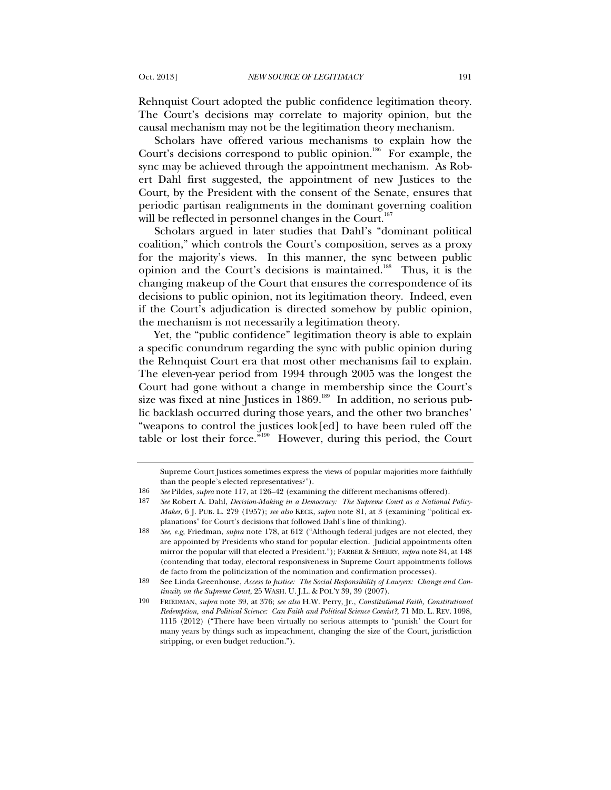Rehnquist Court adopted the public confidence legitimation theory. The Court's decisions may correlate to majority opinion, but the causal mechanism may not be the legitimation theory mechanism.

Scholars have offered various mechanisms to explain how the Court's decisions correspond to public opinion.<sup>186</sup> For example, the sync may be achieved through the appointment mechanism. As Robert Dahl first suggested, the appointment of new Justices to the Court, by the President with the consent of the Senate, ensures that periodic partisan realignments in the dominant governing coalition will be reflected in personnel changes in the Court.<sup>187</sup>

Scholars argued in later studies that Dahl's "dominant political coalition," which controls the Court's composition, serves as a proxy for the majority's views. In this manner, the sync between public opinion and the Court's decisions is maintained.<sup>188</sup> Thus, it is the changing makeup of the Court that ensures the correspondence of its decisions to public opinion, not its legitimation theory. Indeed, even if the Court's adjudication is directed somehow by public opinion, the mechanism is not necessarily a legitimation theory.

Yet, the "public confidence" legitimation theory is able to explain a specific conundrum regarding the sync with public opinion during the Rehnquist Court era that most other mechanisms fail to explain. The eleven-year period from 1994 through 2005 was the longest the Court had gone without a change in membership since the Court's size was fixed at nine Justices in 1869.<sup>189</sup> In addition, no serious public backlash occurred during those years, and the other two branches' "weapons to control the justices look[ed] to have been ruled off the table or lost their force."<sup>190</sup> However, during this period, the Court

187 *See* Robert A. Dahl, *Decision-Making in a Democracy: The Supreme Court as a National Policy-Maker*, 6 J. PUB. L. 279 (1957); *see also* KECK, *supra* note 81, at 3 (examining "political explanations" for Court's decisions that followed Dahl's line of thinking).

188 *See, e.g,* Friedman, *supra* note 178, at 612 ("Although federal judges are not elected, they are appointed by Presidents who stand for popular election. Judicial appointments often mirror the popular will that elected a President."); FARBER & SHERRY, *supra* note 84, at 148 (contending that today, electoral responsiveness in Supreme Court appointments follows de facto from the politicization of the nomination and confirmation processes).

Supreme Court Justices sometimes express the views of popular majorities more faithfully than the people's elected representatives?").

<sup>186</sup> *See* Pildes, *supra* note 117, at 126–42 (examining the different mechanisms offered).

<sup>189</sup> See Linda Greenhouse, *Access to Justice: The Social Responsibility of Lawyers: Change and Continuity on the Supreme Court*, 25 WASH. U. J.L. & POL'Y 39, 39 (2007).

<sup>190</sup> FRIEDMAN, *supra* note 39, at 376; *see also* H.W. Perry, Jr., *Constitutional Faith, Constitutional Redemption, and Political Science: Can Faith and Political Science Coexist?*, 71 MD. L. REV. 1098, 1115 (2012) ("There have been virtually no serious attempts to 'punish' the Court for many years by things such as impeachment, changing the size of the Court, jurisdiction stripping, or even budget reduction.").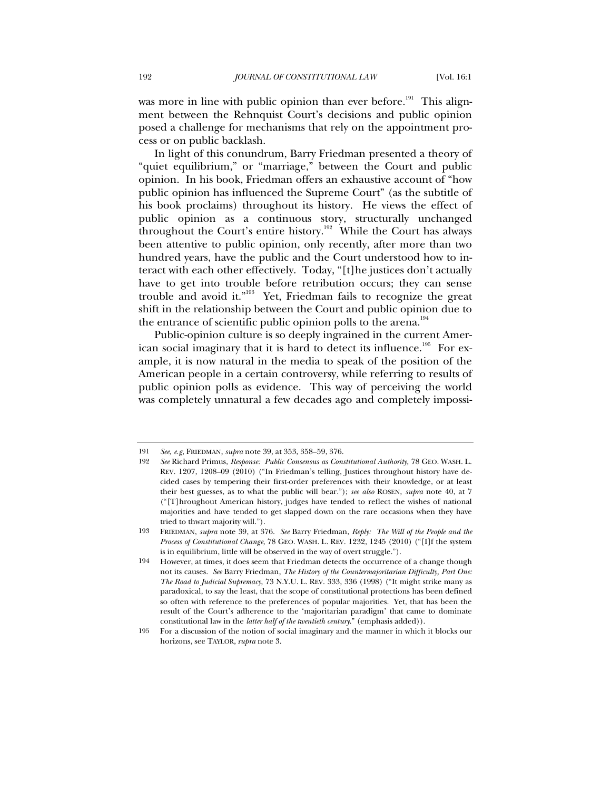was more in line with public opinion than ever before.<sup>191</sup> This alignment between the Rehnquist Court's decisions and public opinion posed a challenge for mechanisms that rely on the appointment process or on public backlash.

In light of this conundrum, Barry Friedman presented a theory of "quiet equilibrium," or "marriage," between the Court and public opinion. In his book, Friedman offers an exhaustive account of "how public opinion has influenced the Supreme Court" (as the subtitle of his book proclaims) throughout its history. He views the effect of public opinion as a continuous story, structurally unchanged throughout the Court's entire history.<sup>192</sup> While the Court has always been attentive to public opinion, only recently, after more than two hundred years, have the public and the Court understood how to interact with each other effectively. Today, "[t]he justices don't actually have to get into trouble before retribution occurs; they can sense trouble and avoid it."193 Yet, Friedman fails to recognize the great shift in the relationship between the Court and public opinion due to the entrance of scientific public opinion polls to the arena.<sup>194</sup>

Public-opinion culture is so deeply ingrained in the current American social imaginary that it is hard to detect its influence.<sup>195</sup> For example, it is now natural in the media to speak of the position of the American people in a certain controversy, while referring to results of public opinion polls as evidence. This way of perceiving the world was completely unnatural a few decades ago and completely impossi-

<sup>191</sup> *See, e.g*, FRIEDMAN, *supra* note 39, at 353, 358–59, 376.

<sup>192</sup> *See* Richard Primus, *Response: Public Consensus as Constitutional Authority,* 78 GEO. WASH. L. REV. 1207, 1208–09 (2010) ("In Friedman's telling, Justices throughout history have decided cases by tempering their first-order preferences with their knowledge, or at least their best guesses, as to what the public will bear."); *see also* ROSEN, *supra* note 40, at 7 ("[T]hroughout American history, judges have tended to reflect the wishes of national majorities and have tended to get slapped down on the rare occasions when they have tried to thwart majority will.").

<sup>193</sup> FRIEDMAN, *supra* note 39, at 376. *See* Barry Friedman, *Reply: The Will of the People and the Process of Constitutional Change*, 78 GEO. WASH. L. REV. 1232, 1245 (2010) ("[I]f the system is in equilibrium, little will be observed in the way of overt struggle.").

<sup>194</sup> However, at times, it does seem that Friedman detects the occurrence of a change though not its causes. *See* Barry Friedman, *The History of the Countermajoritarian Difficulty, Part One: The Road to Judicial Supremacy*, 73 N.Y.U. L. REV. 333, 336 (1998) ("It might strike many as paradoxical, to say the least, that the scope of constitutional protections has been defined so often with reference to the preferences of popular majorities. Yet, that has been the result of the Court's adherence to the 'majoritarian paradigm' that came to dominate constitutional law in the *latter half of the twentieth century*." (emphasis added)).

<sup>195</sup> For a discussion of the notion of social imaginary and the manner in which it blocks our horizons, see TAYLOR, *supra* note 3.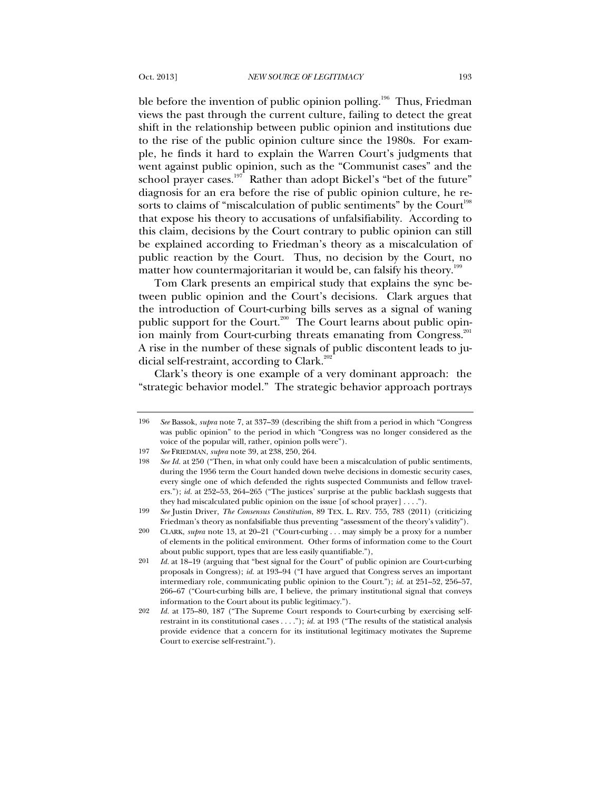ble before the invention of public opinion polling.<sup>196</sup> Thus, Friedman views the past through the current culture, failing to detect the great shift in the relationship between public opinion and institutions due to the rise of the public opinion culture since the 1980s. For example, he finds it hard to explain the Warren Court's judgments that went against public opinion, such as the "Communist cases" and the school prayer cases.<sup>197</sup> Rather than adopt Bickel's "bet of the future" diagnosis for an era before the rise of public opinion culture, he resorts to claims of "miscalculation of public sentiments" by the Court<sup>198</sup> that expose his theory to accusations of unfalsifiability. According to

this claim, decisions by the Court contrary to public opinion can still be explained according to Friedman's theory as a miscalculation of public reaction by the Court. Thus, no decision by the Court, no matter how countermajoritarian it would be, can falsify his theory.<sup>199</sup>

Tom Clark presents an empirical study that explains the sync between public opinion and the Court's decisions. Clark argues that the introduction of Court-curbing bills serves as a signal of waning public support for the Court.<sup>200</sup> The Court learns about public opinion mainly from Court-curbing threats emanating from Congress.<sup>201</sup> A rise in the number of these signals of public discontent leads to judicial self-restraint, according to Clark.<sup>202</sup>

Clark's theory is one example of a very dominant approach: the "strategic behavior model." The strategic behavior approach portrays

<sup>196</sup> *See* Bassok, *supra* note 7, at 337–39 (describing the shift from a period in which "Congress was public opinion" to the period in which "Congress was no longer considered as the voice of the popular will, rather, opinion polls were").

<sup>197</sup> *See* FRIEDMAN, *supra* note 39, at 238, 250, 264.

<sup>198</sup> *See Id.* at 250 ("Then, in what only could have been a miscalculation of public sentiments, during the 1956 term the Court handed down twelve decisions in domestic security cases, every single one of which defended the rights suspected Communists and fellow travelers."); *id.* at 252–53, 264–265 ("The justices' surprise at the public backlash suggests that they had miscalculated public opinion on the issue [of school prayer] . . . .").

<sup>199</sup> *See* Justin Driver, *The Consensus Constitution*, 89 TEX. L. REV. 755, 783 (2011) (criticizing Friedman's theory as nonfalsifiable thus preventing "assessment of the theory's validity").

<sup>200</sup> CLARK, *supra* note 13, at 20–21 ("Court-curbing . . . may simply be a proxy for a number of elements in the political environment. Other forms of information come to the Court about public support, types that are less easily quantifiable."),

<sup>201</sup> *Id.* at 18–19 (arguing that "best signal for the Court" of public opinion are Court-curbing proposals in Congress); *id.* at 193–94 ("I have argued that Congress serves an important intermediary role, communicating public opinion to the Court."); *id.* at 251–52, 256–57, 266–67 ("Court-curbing bills are, I believe, the primary institutional signal that conveys information to the Court about its public legitimacy.").

<sup>202</sup> *Id.* at 175–80, 187 ("The Supreme Court responds to Court-curbing by exercising selfrestraint in its constitutional cases . . . ."); *id.* at 193 ("The results of the statistical analysis provide evidence that a concern for its institutional legitimacy motivates the Supreme Court to exercise self-restraint.").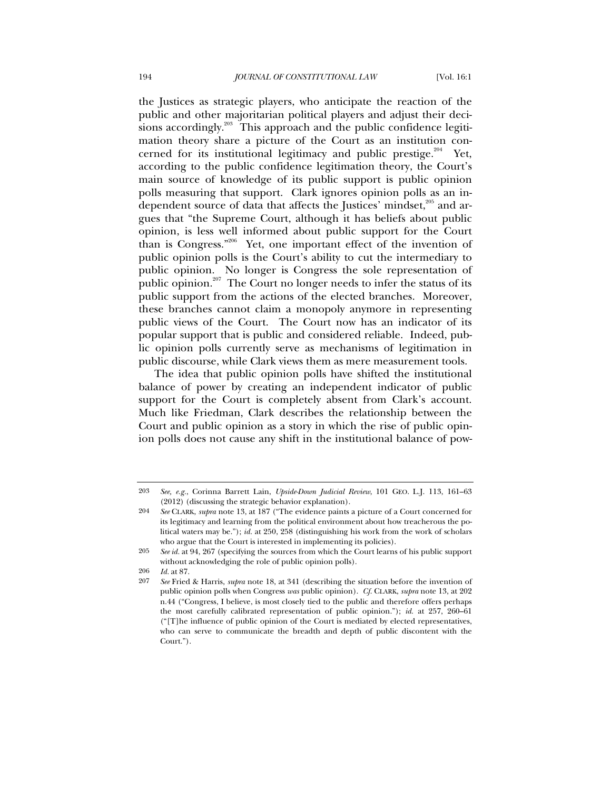the Justices as strategic players, who anticipate the reaction of the public and other majoritarian political players and adjust their decisions accordingly.<sup>203</sup> This approach and the public confidence legitimation theory share a picture of the Court as an institution concerned for its institutional legitimacy and public prestige. $204$  Yet, according to the public confidence legitimation theory, the Court's main source of knowledge of its public support is public opinion polls measuring that support. Clark ignores opinion polls as an independent source of data that affects the Justices' mindset,<sup>205</sup> and argues that "the Supreme Court, although it has beliefs about public opinion, is less well informed about public support for the Court than is Congress."<sup>206</sup> Yet, one important effect of the invention of public opinion polls is the Court's ability to cut the intermediary to public opinion. No longer is Congress the sole representation of public opinion.<sup>207</sup> The Court no longer needs to infer the status of its public support from the actions of the elected branches. Moreover, these branches cannot claim a monopoly anymore in representing public views of the Court. The Court now has an indicator of its popular support that is public and considered reliable. Indeed, public opinion polls currently serve as mechanisms of legitimation in public discourse, while Clark views them as mere measurement tools.

The idea that public opinion polls have shifted the institutional balance of power by creating an independent indicator of public support for the Court is completely absent from Clark's account. Much like Friedman, Clark describes the relationship between the Court and public opinion as a story in which the rise of public opinion polls does not cause any shift in the institutional balance of pow-

<sup>203</sup> *See, e.g.*, Corinna Barrett Lain, *Upside-Down Judicial Review*, 101 GEO. L.J. 113, 161–63 (2012) (discussing the strategic behavior explanation).

<sup>204</sup> *See* CLARK, *supra* note 13, at 187 ("The evidence paints a picture of a Court concerned for its legitimacy and learning from the political environment about how treacherous the political waters may be."); *id.* at 250, 258 (distinguishing his work from the work of scholars who argue that the Court is interested in implementing its policies).

<sup>205</sup> *See id.* at 94, 267 (specifying the sources from which the Court learns of his public support without acknowledging the role of public opinion polls).

<sup>206</sup> *Id.* at 87.

<sup>207</sup> *See* Fried & Harris, *supra* note 18, at 341 (describing the situation before the invention of public opinion polls when Congress *was* public opinion). *Cf.* CLARK, *supra* note 13, at 202 n.44 ("Congress, I believe, is most closely tied to the public and therefore offers perhaps the most carefully calibrated representation of public opinion."); *id.* at 257, 260–61 ("[T]he influence of public opinion of the Court is mediated by elected representatives, who can serve to communicate the breadth and depth of public discontent with the Court.").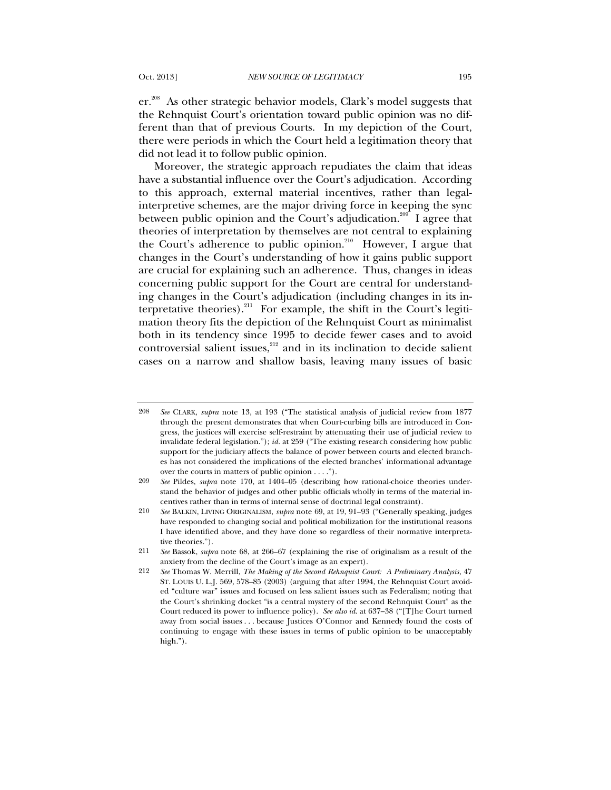er.<sup>208</sup> As other strategic behavior models, Clark's model suggests that the Rehnquist Court's orientation toward public opinion was no different than that of previous Courts. In my depiction of the Court, there were periods in which the Court held a legitimation theory that did not lead it to follow public opinion.

Moreover, the strategic approach repudiates the claim that ideas have a substantial influence over the Court's adjudication. According to this approach, external material incentives, rather than legalinterpretive schemes, are the major driving force in keeping the sync between public opinion and the Court's adjudication.<sup>209</sup> I agree that theories of interpretation by themselves are not central to explaining the Court's adherence to public opinion.<sup>210</sup> However, I argue that changes in the Court's understanding of how it gains public support are crucial for explaining such an adherence. Thus, changes in ideas concerning public support for the Court are central for understanding changes in the Court's adjudication (including changes in its interpretative theories). $^{211}$  For example, the shift in the Court's legitimation theory fits the depiction of the Rehnquist Court as minimalist both in its tendency since 1995 to decide fewer cases and to avoid controversial salient issues, $^{212}$  and in its inclination to decide salient cases on a narrow and shallow basis, leaving many issues of basic

<sup>208</sup> *See* CLARK, *supra* note 13, at 193 ("The statistical analysis of judicial review from 1877 through the present demonstrates that when Court-curbing bills are introduced in Congress, the justices will exercise self-restraint by attenuating their use of judicial review to invalidate federal legislation."); *id.* at 259 ("The existing research considering how public support for the judiciary affects the balance of power between courts and elected branches has not considered the implications of the elected branches' informational advantage over the courts in matters of public opinion . . . .").

<sup>209</sup> *See* Pildes, *supra* note 170, at 1404–05 (describing how rational-choice theories understand the behavior of judges and other public officials wholly in terms of the material incentives rather than in terms of internal sense of doctrinal legal constraint).

<sup>210</sup> *See* BALKIN, LIVING ORIGINALISM, *supra* note 69, at 19, 91–93 ("Generally speaking, judges have responded to changing social and political mobilization for the institutional reasons I have identified above, and they have done so regardless of their normative interpretative theories.").

<sup>211</sup> *See* Bassok, *supra* note 68, at 266–67 (explaining the rise of originalism as a result of the anxiety from the decline of the Court's image as an expert).

<sup>212</sup> *See* Thomas W. Merrill, *The Making of the Second Rehnquist Court: A Preliminary Analysis*, 47 ST. LOUIS U. L.J. 569, 578–85 (2003) (arguing that after 1994, the Rehnquist Court avoided "culture war" issues and focused on less salient issues such as Federalism; noting that the Court's shrinking docket "is a central mystery of the second Rehnquist Court" as the Court reduced its power to influence policy). *See also id*. at 637–38 ("[T]he Court turned away from social issues . . . because Justices O'Connor and Kennedy found the costs of continuing to engage with these issues in terms of public opinion to be unacceptably high.").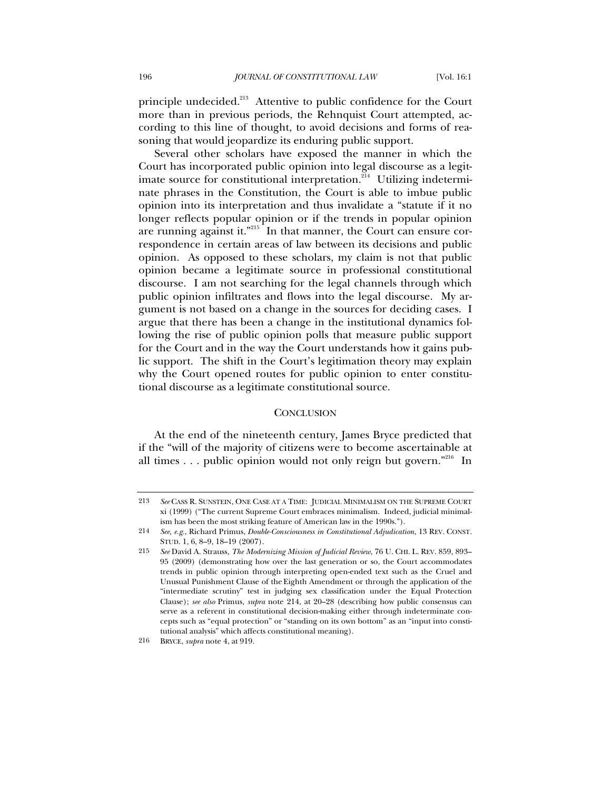principle undecided.213 Attentive to public confidence for the Court more than in previous periods, the Rehnquist Court attempted, according to this line of thought, to avoid decisions and forms of reasoning that would jeopardize its enduring public support.

Several other scholars have exposed the manner in which the Court has incorporated public opinion into legal discourse as a legitimate source for constitutional interpretation.<sup>214</sup> Utilizing indeterminate phrases in the Constitution, the Court is able to imbue public opinion into its interpretation and thus invalidate a "statute if it no longer reflects popular opinion or if the trends in popular opinion are running against it."<sup>215</sup> In that manner, the Court can ensure correspondence in certain areas of law between its decisions and public opinion. As opposed to these scholars, my claim is not that public opinion became a legitimate source in professional constitutional discourse. I am not searching for the legal channels through which public opinion infiltrates and flows into the legal discourse. My argument is not based on a change in the sources for deciding cases. I argue that there has been a change in the institutional dynamics following the rise of public opinion polls that measure public support for the Court and in the way the Court understands how it gains public support. The shift in the Court's legitimation theory may explain why the Court opened routes for public opinion to enter constitutional discourse as a legitimate constitutional source.

#### **CONCLUSION**

At the end of the nineteenth century, James Bryce predicted that if the "will of the majority of citizens were to become ascertainable at all times  $\ldots$  public opinion would not only reign but govern."<sup>216</sup> In

<sup>213</sup> *See* CASS R. SUNSTEIN, ONE CASE AT A TIME: JUDICIAL MINIMALISM ON THE SUPREME COURT xi (1999) ("The current Supreme Court embraces minimalism. Indeed, judicial minimalism has been the most striking feature of American law in the 1990s.").

<sup>214</sup> *See, e.g.*, Richard Primus, *Double-Consciousness in Constitutional Adjudication*, 13 REV. CONST. STUD. 1, 6, 8–9, 18–19 (2007).

<sup>215</sup> *See* David A. Strauss, *The Modernizing Mission of Judicial Review*, 76 U. CHI. L. REV. 859, 893– 95 (2009) (demonstrating how over the last generation or so, the Court accommodates trends in public opinion through interpreting open-ended text such as the Cruel and Unusual Punishment Clause of the Eighth Amendment or through the application of the "intermediate scrutiny" test in judging sex classification under the Equal Protection Clause); *see also* Primus, *supra* note 214, at 20–28 (describing how public consensus can serve as a referent in constitutional decision-making either through indeterminate concepts such as "equal protection" or "standing on its own bottom" as an "input into constitutional analysis" which affects constitutional meaning).

<sup>216</sup> BRYCE, *supra* note 4, at 919.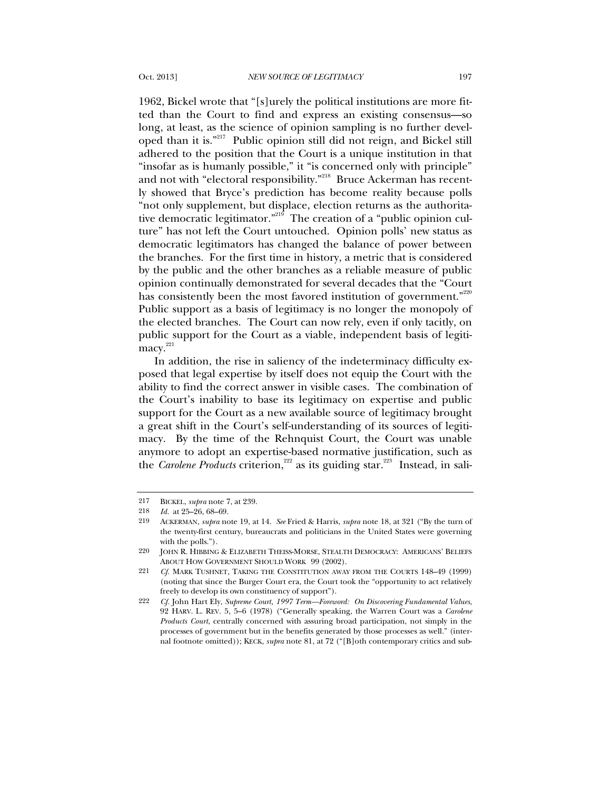1962, Bickel wrote that "[s]urely the political institutions are more fitted than the Court to find and express an existing consensus—so long, at least, as the science of opinion sampling is no further developed than it is."<sup>217</sup> Public opinion still did not reign, and Bickel still adhered to the position that the Court is a unique institution in that "insofar as is humanly possible," it "is concerned only with principle" and not with "electoral responsibility."<sup>218</sup> Bruce Ackerman has recently showed that Bryce's prediction has become reality because polls "not only supplement, but displace, election returns as the authoritative democratic legitimator."<sup>219</sup> The creation of a "public opinion culture" has not left the Court untouched. Opinion polls' new status as democratic legitimators has changed the balance of power between the branches. For the first time in history, a metric that is considered by the public and the other branches as a reliable measure of public opinion continually demonstrated for several decades that the "Court has consistently been the most favored institution of government."<sup>220</sup> Public support as a basis of legitimacy is no longer the monopoly of the elected branches. The Court can now rely, even if only tacitly, on public support for the Court as a viable, independent basis of legiti- $\frac{221}{2}$ 

In addition, the rise in saliency of the indeterminacy difficulty exposed that legal expertise by itself does not equip the Court with the ability to find the correct answer in visible cases. The combination of the Court's inability to base its legitimacy on expertise and public support for the Court as a new available source of legitimacy brought a great shift in the Court's self-understanding of its sources of legitimacy. By the time of the Rehnquist Court, the Court was unable anymore to adopt an expertise-based normative justification, such as the *Carolene Products* criterion,<sup>222</sup> as its guiding star.<sup>223</sup> Instead, in sali-

<sup>217</sup> BICKEL, *supra* note 7, at 239.

<sup>218</sup> *Id.* at 25–26, 68–69.

<sup>219</sup> ACKERMAN, *supra* note 19, at 14. *See* Fried & Harris, *supra* note 18, at 321 ("By the turn of the twenty-first century, bureaucrats and politicians in the United States were governing with the polls.").

<sup>220</sup> JOHN R. HIBBING & ELIZABETH THEISS-MORSE, STEALTH DEMOCRACY: AMERICANS' BELIEFS ABOUT HOW GOVERNMENT SHOULD WORK 99 (2002).

<sup>221</sup> *Cf.* MARK TUSHNET, TAKING THE CONSTITUTION AWAY FROM THE COURTS 148–49 (1999) (noting that since the Burger Court era, the Court took the "opportunity to act relatively freely to develop its own constituency of support").

<sup>222</sup> *Cf.* John Hart Ely, *Supreme Court, 1997 Term—Foreword: On Discovering Fundamental Values*, 92 HARV. L. REV. 5, 5–6 (1978) ("Generally speaking, the Warren Court was a *Carolene Products Court*, centrally concerned with assuring broad participation, not simply in the processes of government but in the benefits generated by those processes as well." (internal footnote omitted)); KECK, *supra* note 81, at 72 ("[B]oth contemporary critics and sub-